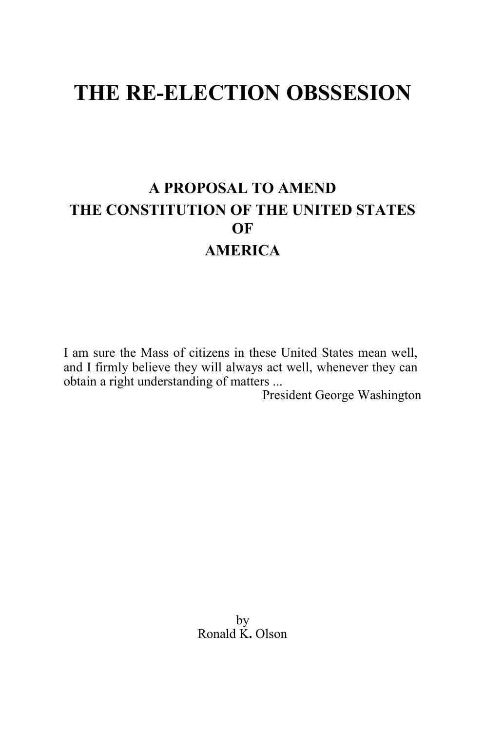## **THE RE-ELECTION OBSSESION**

## **A PROPOSAL TO AMEND THE CONSTITUTION OF THE UNITED STATES OF AMERICA**

I am sure the Mass of citizens in these United States mean well, and I firmly believe they will always act well, whenever they can obtain a right understanding of matters ...

President George Washington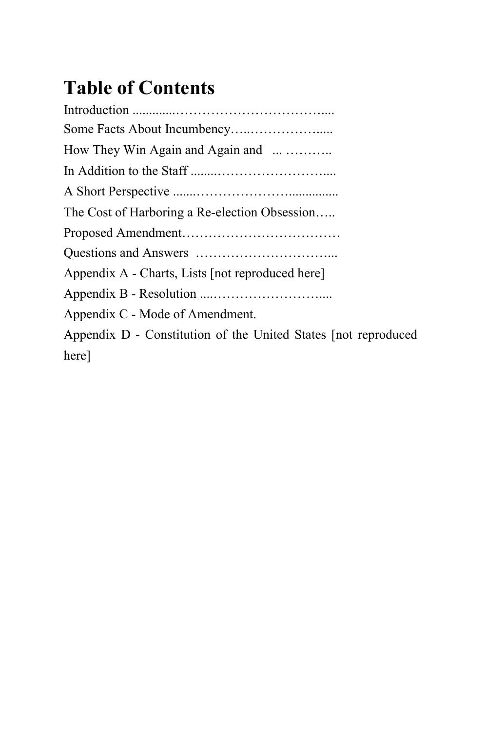# **Table of Contents**

| How They Win Again and Again and                                |
|-----------------------------------------------------------------|
|                                                                 |
|                                                                 |
| The Cost of Harboring a Re-election Obsession                   |
|                                                                 |
|                                                                 |
| Appendix A - Charts, Lists [not reproduced here]                |
|                                                                 |
| Appendix C - Mode of Amendment.                                 |
| Appendix D - Constitution of the United States [not reproduced] |
| here]                                                           |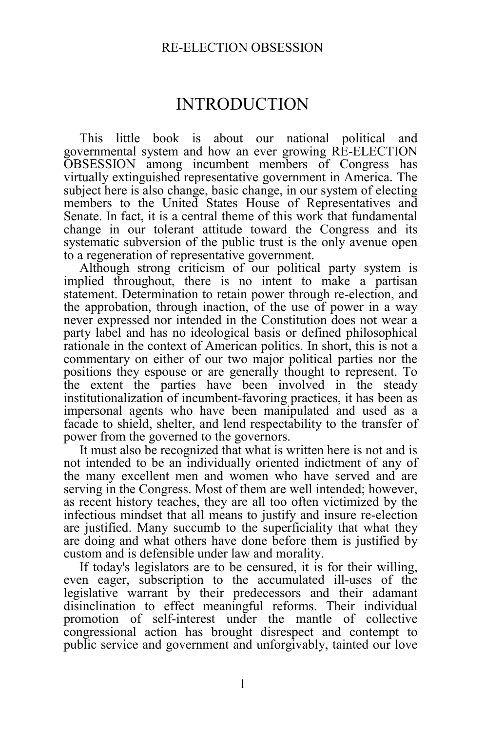## INTRODUCTION

This little book is about our national political and governmental system and how an ever growing RE-ELECTION OBSESSION among incumbent members of Congress has virtually extinguished representative government in America. The subject here is also change, basic change, in our system of electing members to the United States House of Representatives and Senate. In fact, it is a central theme of this work that fundamental change in our tolerant attitude toward the Congress and its systematic subversion of the public trust is the only avenue open to a regeneration of representative government.

Although strong criticism of our political party system is implied throughout, there is no intent to make a partisan statement. Determination to retain power through re-election, and the approbation, through inaction, of the use of power in a way never expressed nor intended in the Constitution does not wear a party label and has no ideological basis or defined philosophical rationale in the context of American politics. In short, this is not a commentary on either of our two major political parties nor the positions they espouse or are generally thought to represent. To the extent the parties have been involved in the steady institutionalization of incumbent-favoring practices, it has been as impersonal agents who have been manipulated and used as a facade to shield, shelter, and lend respectability to the transfer of power from the governed to the governors.

It must also be recognized that what is written here is not and is not intended to be an individually oriented indictment of any of the many excellent men and women who have served and are serving in the Congress. Most of them are well intended; however, as recent history teaches, they are all too often victimized by the infectious mindset that all means to justify and insure re-election are justified. Many succumb to the superficiality that what they are doing and what others have done before them is justified by custom and is defensible under law and morality.

If today's legislators are to be censured, it is for their willing, even eager, subscription to the accumulated ill-uses of the legislative warrant by their predecessors and their adamant disinclination to effect meaningful reforms. Their individual promotion of self-interest under the mantle of collective congressional action has brought disrespect and contempt to public service and government and unforgivably, tainted our love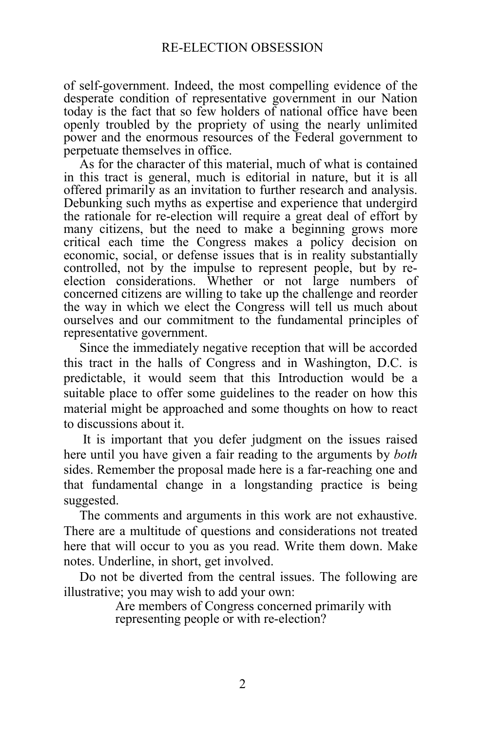of self-government. Indeed, the most compelling evidence of the desperate condition of representative government in our Nation today is the fact that so few holders of national office have been openly troubled by the propriety of using the nearly unlimited power and the enormous resources of the Federal government to perpetuate themselves in office.

As for the character of this material, much of what is contained in this tract is general, much is editorial in nature, but it is all offered primarily as an invitation to further research and analysis. Debunking such myths as expertise and experience that undergird the rationale for re-election will require a great deal of effort by many citizens, but the need to make a beginning grows more critical each time the Congress makes a policy decision on economic, social, or defense issues that is in reality substantially controlled, not by the impulse to represent people, but by reelection considerations. Whether or not large numbers of concerned citizens are willing to take up the challenge and reorder the way in which we elect the Congress will tell us much about ourselves and our commitment to the fundamental principles of representative government.

Since the immediately negative reception that will be accorded this tract in the halls of Congress and in Washington, D.C. is predictable, it would seem that this Introduction would be a suitable place to offer some guidelines to the reader on how this material might be approached and some thoughts on how to react to discussions about it.

 It is important that you defer judgment on the issues raised here until you have given a fair reading to the arguments by *both* sides. Remember the proposal made here is a far-reaching one and that fundamental change in a longstanding practice is being suggested.

The comments and arguments in this work are not exhaustive. There are a multitude of questions and considerations not treated here that will occur to you as you read. Write them down. Make notes. Underline, in short, get involved.

Do not be diverted from the central issues. The following are illustrative; you may wish to add your own:

Are members of Congress concerned primarily with representing people or with re-election?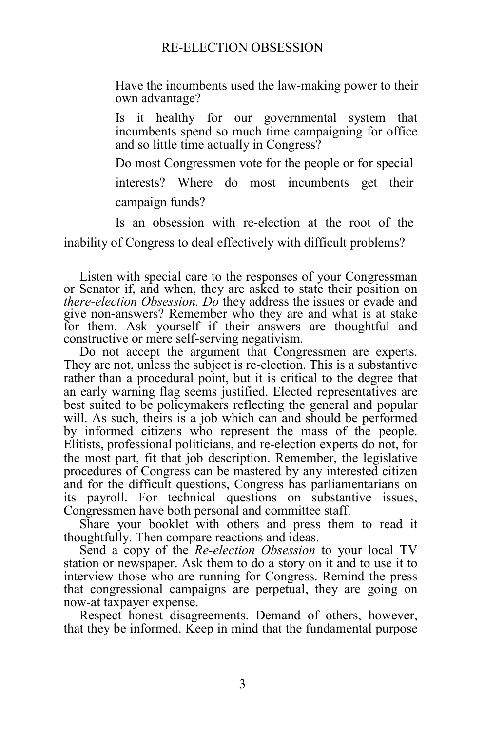Have the incumbents used the law-making power to their own advantage?

Is it healthy for our governmental system that incumbents spend so much time campaigning for office and so little time actually in Congress?

Do most Congressmen vote for the people or for special

interests? Where do most incumbents get their campaign funds?

Is an obsession with re-election at the root of the

inability of Congress to deal effectively with difficult problems?

Listen with special care to the responses of your Congressman or Senator if, and when, they are asked to state their position on *there-election Obsession. Do* they address the issues or evade and give non-answers? Remember who they are and what is at stake for them. Ask yourself if their answers are thoughtful and constructive or mere self-serving negativism.

Do not accept the argument that Congressmen are experts. They are not, unless the subject is re-election. This is a substantive rather than a procedural point, but it is critical to the degree that an early warning flag seems justified. Elected representatives are best suited to be policymakers reflecting the general and popular will. As such, theirs is a job which can and should be performed by informed citizens who represent the mass of the people. Elitists, professional politicians, and re-election experts do not, for the most part, fit that job description. Remember, the legislative procedures of Congress can be mastered by any interested citizen and for the difficult questions, Congress has parliamentarians on its payroll. For technical questions on substantive issues, Congressmen have both personal and committee staff.

Share your booklet with others and press them to read it thoughtfully. Then compare reactions and ideas.

Send a copy of the *Re-election Obsession* to your local TV station or newspaper. Ask them to do a story on it and to use it to interview those who are running for Congress. Remind the press that congressional campaigns are perpetual, they are going on now-at taxpayer expense.

Respect honest disagreements. Demand of others, however, that they be informed. Keep in mind that the fundamental purpose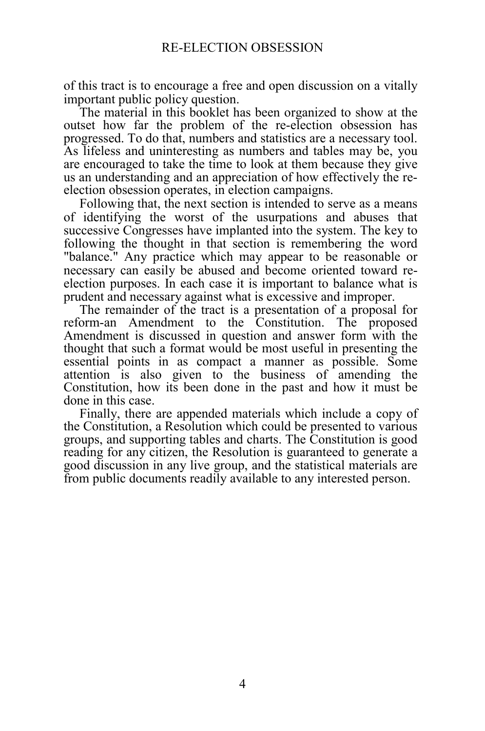of this tract is to encourage a free and open discussion on a vitally important public policy question.

The material in this booklet has been organized to show at the outset how far the problem of the re-election obsession has progressed. To do that, numbers and statistics are a necessary tool. As lifeless and uninteresting as numbers and tables may be, you are encouraged to take the time to look at them because they give us an understanding and an appreciation of how effectively the reelection obsession operates, in election campaigns.

Following that, the next section is intended to serve as a means of identifying the worst of the usurpations and abuses that successive Congresses have implanted into the system. The key to following the thought in that section is remembering the word "balance." Any practice which may appear to be reasonable or necessary can easily be abused and become oriented toward reelection purposes. In each case it is important to balance what is prudent and necessary against what is excessive and improper.

The remainder of the tract is a presentation of a proposal for reform-an Amendment to the Constitution. The proposed Amendment is discussed in question and answer form with the thought that such a format would be most useful in presenting the essential points in as compact a manner as possible. Some attention is also given to the business of amending the Constitution, how its been done in the past and how it must be done in this case.

Finally, there are appended materials which include a copy of the Constitution, a Resolution which could be presented to various groups, and supporting tables and charts. The Constitution is good reading for any citizen, the Resolution is guaranteed to generate a good discussion in any live group, and the statistical materials are from public documents readily available to any interested person.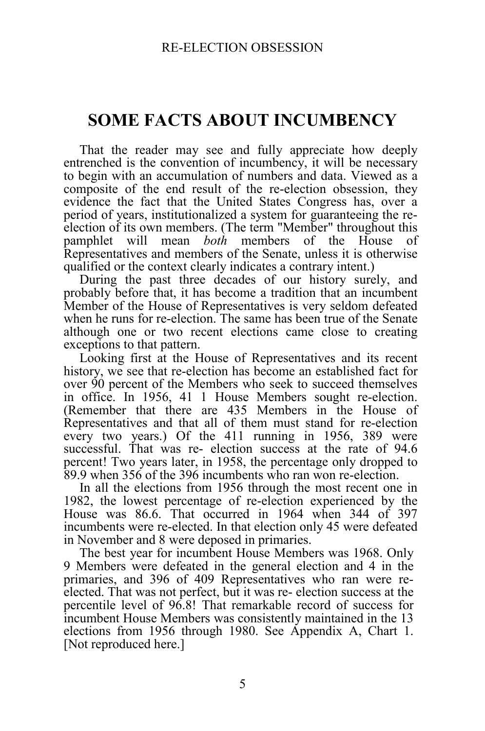## **SOME FACTS ABOUT INCUMBENCY**

That the reader may see and fully appreciate how deeply entrenched is the convention of incumbency, it will be necessary to begin with an accumulation of numbers and data. Viewed as a composite of the end result of the re-election obsession, they evidence the fact that the United States Congress has, over a period of years, institutionalized a system for guaranteeing the reelection of its own members. (The term "Member" throughout this pamphlet will mean *both* members of the House of mean *both* members of the House of Representatives and members of the Senate, unless it is otherwise qualified or the context clearly indicates a contrary intent.)

During the past three decades of our history surely, and probably before that, it has become a tradition that an incumbent Member of the House of Representatives is very seldom defeated when he runs for re-election. The same has been true of the Senate although one or two recent elections came close to creating exceptions to that pattern.

Looking first at the House of Representatives and its recent history, we see that re-election has become an established fact for over 90 percent of the Members who seek to succeed themselves in office. In 1956, 41 1 House Members sought re-election. (Remember that there are 435 Members in the House of Representatives and that all of them must stand for re-election every two years.) Of the 411 running in 1956, 389 were successful. That was re- election success at the rate of 94.6 percent! Two years later, in 1958, the percentage only dropped to 89.9 when 356 of the 396 incumbents who ran won re-election.

In all the elections from 1956 through the most recent one in 1982, the lowest percentage of re-election experienced by the House was 86.6. That occurred in 1964 when 344 of 397 incumbents were re-elected. In that election only 45 were defeated in November and 8 were deposed in primaries.

The best year for incumbent House Members was 1968. Only 9 Members were defeated in the general election and 4 in the primaries, and 396 of 409 Representatives who ran were reelected. That was not perfect, but it was re- election success at the percentile level of 96.8! That remarkable record of success for incumbent House Members was consistently maintained in the 13 elections from 1956 through 1980. See Appendix A, Chart 1. [Not reproduced here.]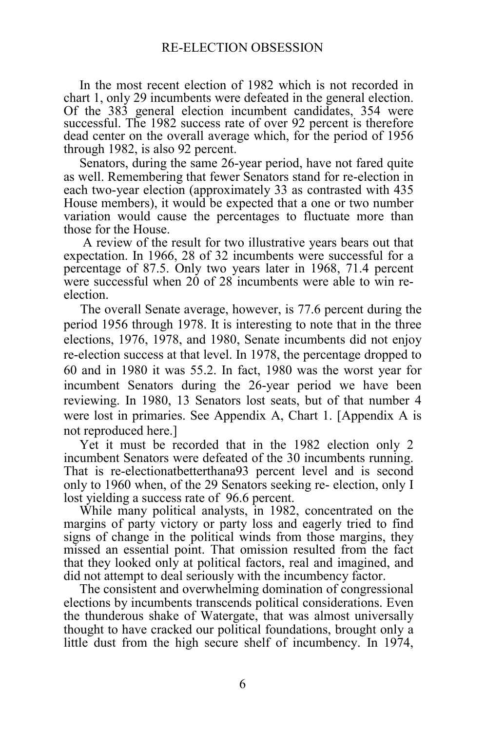In the most recent election of 1982 which is not recorded in chart 1, only 29 incumbents were defeated in the general election. Of the 383 general election incumbent candidates, 354 were successful. The 1982 success rate of over 92 percent is therefore dead center on the overall average which, for the period of 1956 through 1982, is also 92 percent.

Senators, during the same 26-year period, have not fared quite as well. Remembering that fewer Senators stand for re-election in each two-year election (approximately 33 as contrasted with 435 House members), it would be expected that a one or two number variation would cause the percentages to fluctuate more than those for the House.

 A review of the result for two illustrative years bears out that expectation. In 1966, 28 of 32 incumbents were successful for a percentage of 87.5. Only two years later in 1968, 71.4 percent were successful when  $20$  of  $28$  incumbents were able to win reelection.

 The overall Senate average, however, is 77.6 percent during the period 1956 through 1978. It is interesting to note that in the three elections, 1976, 1978, and 1980, Senate incumbents did not enjoy re-election success at that level. In 1978, the percentage dropped to 60 and in 1980 it was 55.2. In fact, 1980 was the worst year for incumbent Senators during the 26-year period we have been reviewing. In 1980, 13 Senators lost seats, but of that number 4 were lost in primaries. See Appendix A, Chart 1. [Appendix A is not reproduced here.]

Yet it must be recorded that in the 1982 election only 2 incumbent Senators were defeated of the 30 incumbents running. That is re-electionatbetterthana93 percent level and is second only to 1960 when, of the 29 Senators seeking re- election, only I lost yielding a success rate of 96.6 percent.

While many political analysts, in 1982, concentrated on the margins of party victory or party loss and eagerly tried to find signs of change in the political winds from those margins, they missed an essential point. That omission resulted from the fact that they looked only at political factors, real and imagined, and did not attempt to deal seriously with the incumbency factor.

The consistent and overwhelming domination of congressional elections by incumbents transcends political considerations. Even the thunderous shake of Watergate, that was almost universally thought to have cracked our political foundations, brought only a little dust from the high secure shelf of incumbency. In 1974,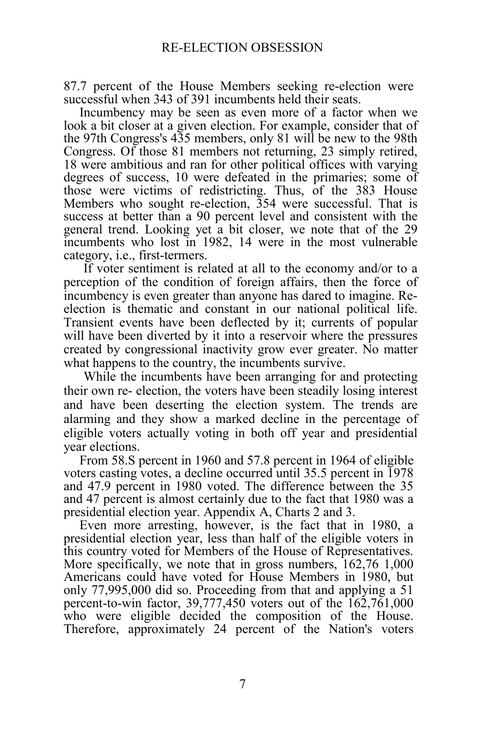87.7 percent of the House Members seeking re-election were successful when 343 of 391 incumbents held their seats.

Incumbency may be seen as even more of a factor when we look a bit closer at a given election. For example, consider that of the 97th Congress's 435 members, only 81 will be new to the 98th Congress. Of those 81 members not returning, 23 simply retired, 18 were ambitious and ran for other political offices with varying degrees of success, 10 were defeated in the primaries; some of those were victims of redistricting. Thus, of the 383 House Members who sought re-election, 354 were successful. That is success at better than a 90 percent level and consistent with the general trend. Looking yet a bit closer, we note that of the 29 incumbents who lost in 1982, 14 were in the most vulnerable category, i.e., first-termers.

If voter sentiment is related at all to the economy and/or to a perception of the condition of foreign affairs, then the force of incumbency is even greater than anyone has dared to imagine. Reelection is thematic and constant in our national political life. Transient events have been deflected by it; currents of popular will have been diverted by it into a reservoir where the pressures created by congressional inactivity grow ever greater. No matter what happens to the country, the incumbents survive.

While the incumbents have been arranging for and protecting their own re- election, the voters have been steadily losing interest and have been deserting the election system. The trends are alarming and they show a marked decline in the percentage of eligible voters actually voting in both off year and presidential year elections.

From 58.S percent in 1960 and 57.8 percent in 1964 of eligible voters casting votes, a decline occurred until 35.5 percent in 1978 and 47.9 percent in 1980 voted. The difference between the 35 and 47 percent is almost certainly due to the fact that 1980 was a presidential election year. Appendix A, Charts 2 and 3.

Even more arresting, however, is the fact that in 1980, a presidential election year, less than half of the eligible voters in this country voted for Members of the House of Representatives. More specifically, we note that in gross numbers,  $162,76$  1,000 Americans could have voted for House Members in 1980, but only 77,995,000 did so. Proceeding from that and applying a 51 percent-to-win factor, 39,777,450 voters out of the 162,761,000 who were eligible decided the composition of the House. Therefore, approximately 24 percent of the Nation's voters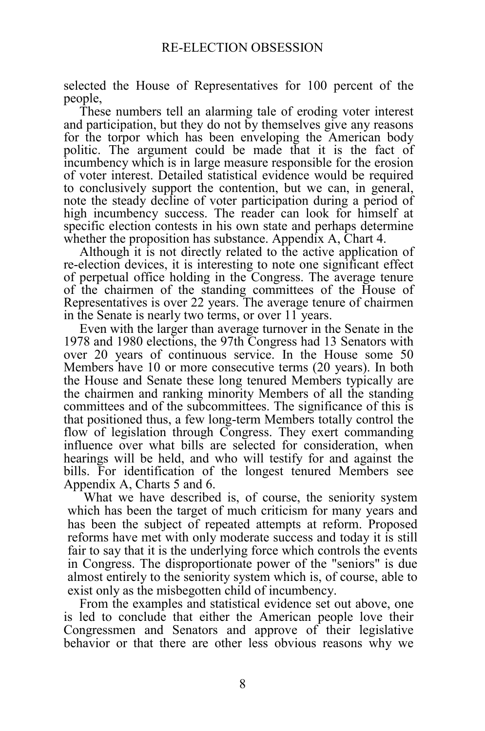selected the House of Representatives for 100 percent of the people,

These numbers tell an alarming tale of eroding voter interest and participation, but they do not by themselves give any reasons for the torpor which has been enveloping the American body politic. The argument could be made that it is the fact of incumbency which is in large measure responsible for the erosion of voter interest. Detailed statistical evidence would be required to conclusively support the contention, but we can, in general, note the steady decline of voter participation during a period of high incumbency success. The reader can look for himself at specific election contests in his own state and perhaps determine whether the proposition has substance. Appendix A, Chart 4.

Although it is not directly related to the active application of re-election devices, it is interesting to note one significant effect of perpetual office holding in the Congress. The average tenure of the chairmen of the standing committees of the House of Representatives is over 22 years. The average tenure of chairmen in the Senate is nearly two terms, or over 11 years.

Even with the larger than average turnover in the Senate in the 1978 and 1980 elections, the 97th Congress had 13 Senators with over 20 years of continuous service. In the House some 50 Members have 10 or more consecutive terms (20 years). In both the House and Senate these long tenured Members typically are the chairmen and ranking minority Members of all the standing committees and of the subcommittees. The significance of this is that positioned thus, a few long-term Members totally control the flow of legislation through Congress. They exert commanding influence over what bills are selected for consideration, when hearings will be held, and who will testify for and against the bills. For identification of the longest tenured Members see Appendix A, Charts 5 and 6.

What we have described is, of course, the seniority system which has been the target of much criticism for many years and has been the subject of repeated attempts at reform. Proposed reforms have met with only moderate success and today it is still fair to say that it is the underlying force which controls the events in Congress. The disproportionate power of the "seniors" is due almost entirely to the seniority system which is, of course, able to exist only as the misbegotten child of incumbency.

From the examples and statistical evidence set out above, one is led to conclude that either the American people love their Congressmen and Senators and approve of their legislative behavior or that there are other less obvious reasons why we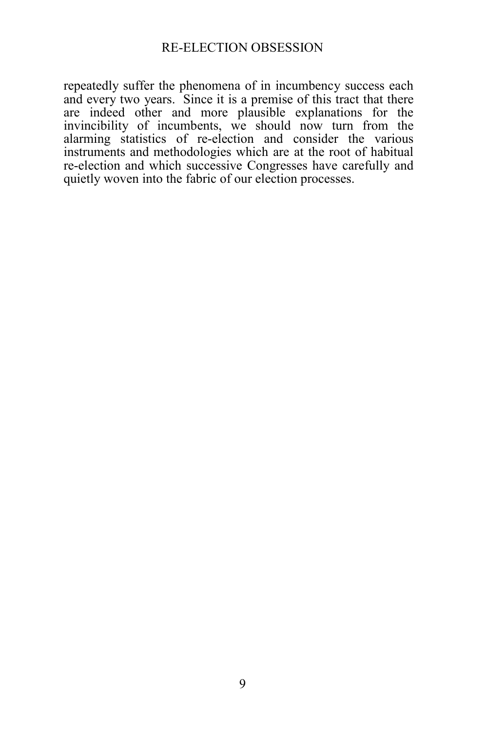#### RE-ELECTION OBSESSION

repeatedly suffer the phenomena of in incumbency success each and every two years. Since it is a premise of this tract that there are indeed other and more plausible explanations for the invincibility of incumbents, we should now turn from the alarming statistics of re-election and consider the various instruments and methodologies which are at the root of habitual re-election and which successive Congresses have carefully and quietly woven into the fabric of our election processes.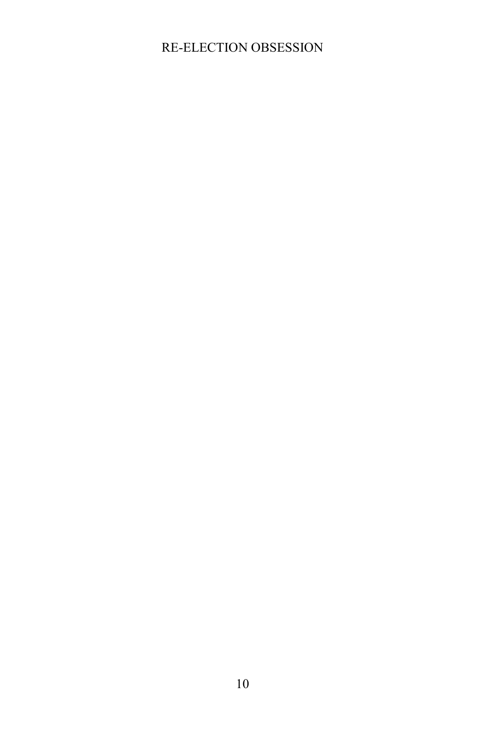#### RE-ELECTION OBSESSION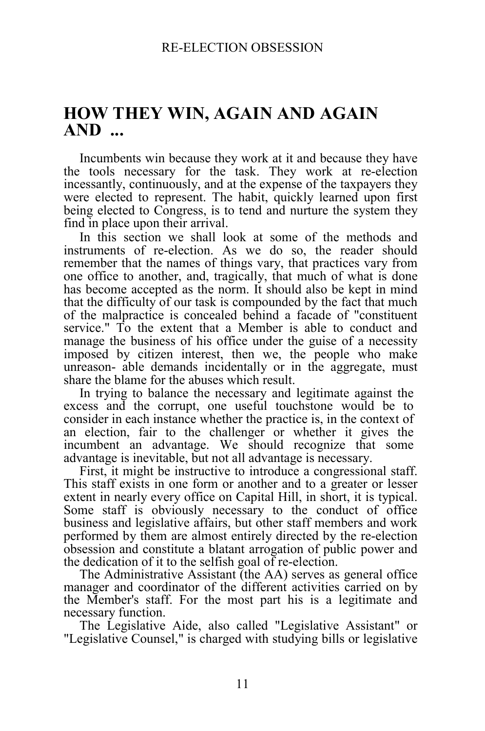### **HOW THEY WIN, AGAIN AND AGAIN AND ...**

Incumbents win because they work at it and because they have the tools necessary for the task. They work at re-election incessantly, continuously, and at the expense of the taxpayers they were elected to represent. The habit, quickly learned upon first being elected to Congress, is to tend and nurture the system they find in place upon their arrival.

In this section we shall look at some of the methods and instruments of re-election. As we do so, the reader should remember that the names of things vary, that practices vary from one office to another, and, tragically, that much of what is done has become accepted as the norm. It should also be kept in mind that the difficulty of our task is compounded by the fact that much of the malpractice is concealed behind a facade of "constituent service." To the extent that a Member is able to conduct and manage the business of his office under the guise of a necessity imposed by citizen interest, then we, the people who make unreason- able demands incidentally or in the aggregate, must share the blame for the abuses which result.

In trying to balance the necessary and legitimate against the excess and the corrupt, one useful touchstone would be to consider in each instance whether the practice is, in the context of an election, fair to the challenger or whether it gives the incumbent an advantage. We should recognize that some advantage is inevitable, but not all advantage is necessary.

First, it might be instructive to introduce a congressional staff. This staff exists in one form or another and to a greater or lesser extent in nearly every office on Capital Hill, in short, it is typical. Some staff is obviously necessary to the conduct of office business and legislative affairs, but other staff members and work performed by them are almost entirely directed by the re-election obsession and constitute a blatant arrogation of public power and the dedication of it to the selfish goal of re-election.

The Administrative Assistant (the AA) serves as general office manager and coordinator of the different activities carried on by the Member's staff. For the most part his is a legitimate and necessary function.

The Legislative Aide, also called "Legislative Assistant" or "Legislative Counsel," is charged with studying bills or legislative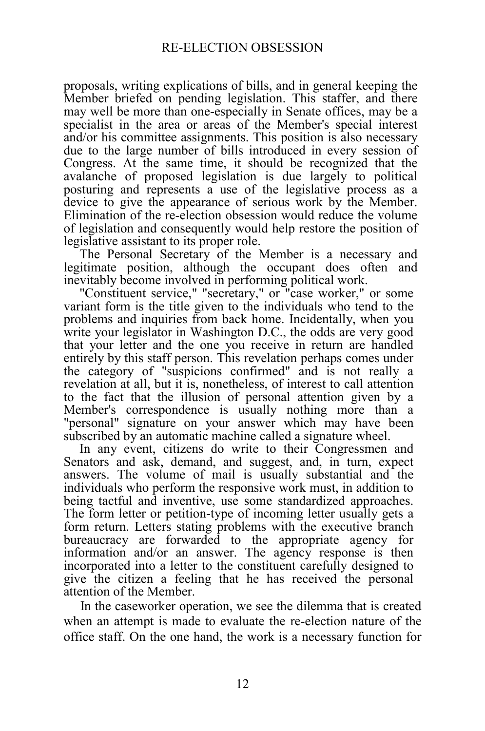proposals, writing explications of bills, and in general keeping the Member briefed on pending legislation. This staffer, and there may well be more than one-especially in Senate offices, may be a specialist in the area or areas of the Member's special interest and/or his committee assignments. This position is also necessary due to the large number of bills introduced in every session of Congress. At the same time, it should be recognized that the avalanche of proposed legislation is due largely to political posturing and represents a use of the legislative process as a device to give the appearance of serious work by the Member. Elimination of the re-election obsession would reduce the volume of legislation and consequently would help restore the position of legislative assistant to its proper role.

The Personal Secretary of the Member is a necessary and legitimate position, although the occupant does often and inevitably become involved in performing political work.

"Constituent service," "secretary," or "case worker," or some variant form is the title given to the individuals who tend to the problems and inquiries from back home. Incidentally, when you write your legislator in Washington D.C., the odds are very good that your letter and the one you receive in return are handled entirely by this staff person. This revelation perhaps comes under the category of "suspicions confirmed" and is not really a revelation at all, but it is, nonetheless, of interest to call attention to the fact that the illusion of personal attention given by a Member's correspondence is usually nothing more than a "personal" signature on your answer which may have been subscribed by an automatic machine called a signature wheel.

In any event, citizens do write to their Congressmen and Senators and ask, demand, and suggest, and, in turn, expect answers. The volume of mail is usually substantial and the individuals who perform the responsive work must, in addition to being tactful and inventive, use some standardized approaches. The form letter or petition-type of incoming letter usually gets a form return. Letters stating problems with the executive branch bureaucracy are forwarded to the appropriate agency for information and/or an answer. The agency response is then incorporated into a letter to the constituent carefully designed to give the citizen a feeling that he has received the personal attention of the Member.

 In the caseworker operation, we see the dilemma that is created when an attempt is made to evaluate the re-election nature of the office staff. On the one hand, the work is a necessary function for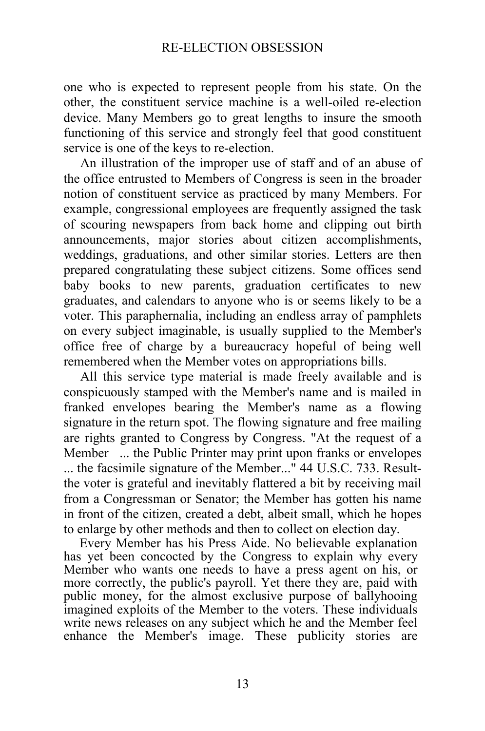one who is expected to represent people from his state. On the other, the constituent service machine is a well-oiled re-election device. Many Members go to great lengths to insure the smooth functioning of this service and strongly feel that good constituent service is one of the keys to re-election.

 An illustration of the improper use of staff and of an abuse of the office entrusted to Members of Congress is seen in the broader notion of constituent service as practiced by many Members. For example, congressional employees are frequently assigned the task of scouring newspapers from back home and clipping out birth announcements, major stories about citizen accomplishments, weddings, graduations, and other similar stories. Letters are then prepared congratulating these subject citizens. Some offices send baby books to new parents, graduation certificates to new graduates, and calendars to anyone who is or seems likely to be a voter. This paraphernalia, including an endless array of pamphlets on every subject imaginable, is usually supplied to the Member's office free of charge by a bureaucracy hopeful of being well remembered when the Member votes on appropriations bills.

 All this service type material is made freely available and is conspicuously stamped with the Member's name and is mailed in franked envelopes bearing the Member's name as a flowing signature in the return spot. The flowing signature and free mailing are rights granted to Congress by Congress. "At the request of a Member ... the Public Printer may print upon franks or envelopes ... the facsimile signature of the Member..." 44 U.S.C. 733. Resultthe voter is grateful and inevitably flattered a bit by receiving mail from a Congressman or Senator; the Member has gotten his name in front of the citizen, created a debt, albeit small, which he hopes to enlarge by other methods and then to collect on election day.

Every Member has his Press Aide. No believable explanation has yet been concocted by the Congress to explain why every Member who wants one needs to have a press agent on his, or more correctly, the public's payroll. Yet there they are, paid with public money, for the almost exclusive purpose of ballyhooing imagined exploits of the Member to the voters. These individuals write news releases on any subject which he and the Member feel enhance the Member's image. These publicity stories are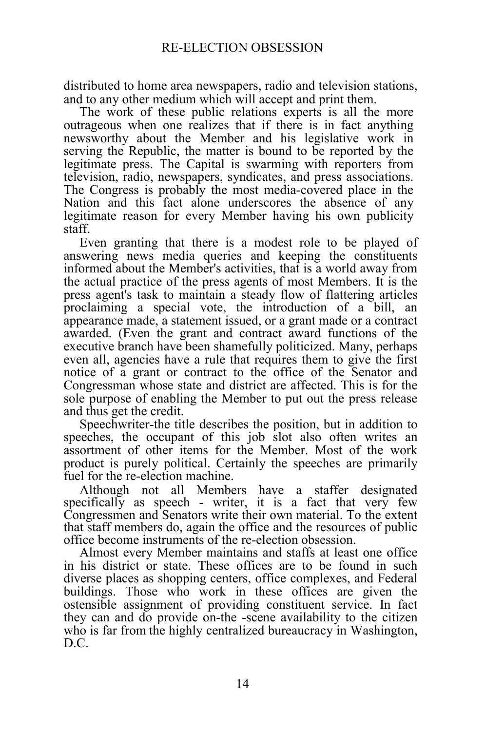distributed to home area newspapers, radio and television stations, and to any other medium which will accept and print them.

The work of these public relations experts is all the more outrageous when one realizes that if there is in fact anything newsworthy about the Member and his legislative work in serving the Republic, the matter is bound to be reported by the legitimate press. The Capital is swarming with reporters from television, radio, newspapers, syndicates, and press associations. The Congress is probably the most media-covered place in the Nation and this fact alone underscores the absence of any legitimate reason for every Member having his own publicity staff.

Even granting that there is a modest role to be played of answering news media queries and keeping the constituents informed about the Member's activities, that is a world away from the actual practice of the press agents of most Members. It is the press agent's task to maintain a steady flow of flattering articles proclaiming a special vote, the introduction of a bill, an appearance made, a statement issued, or a grant made or a contract awarded. (Even the grant and contract award functions of the executive branch have been shamefully politicized. Many, perhaps even all, agencies have a rule that requires them to give the first notice of a grant or contract to the office of the Senator and Congressman whose state and district are affected. This is for the sole purpose of enabling the Member to put out the press release and thus get the credit.

Speechwriter-the title describes the position, but in addition to speeches, the occupant of this job slot also often writes an assortment of other items for the Member. Most of the work product is purely political. Certainly the speeches are primarily fuel for the re-election machine.

Although not all Members have a staffer designated specifically as speech - writer, it is a fact that very few Congressmen and Senators write their own material. To the extent that staff members do, again the office and the resources of public office become instruments of the re-election obsession.

Almost every Member maintains and staffs at least one office in his district or state. These offices are to be found in such diverse places as shopping centers, office complexes, and Federal buildings. Those who work in these offices are given the ostensible assignment of providing constituent service. In fact they can and do provide on-the -scene availability to the citizen who is far from the highly centralized bureaucracy in Washington, D.C.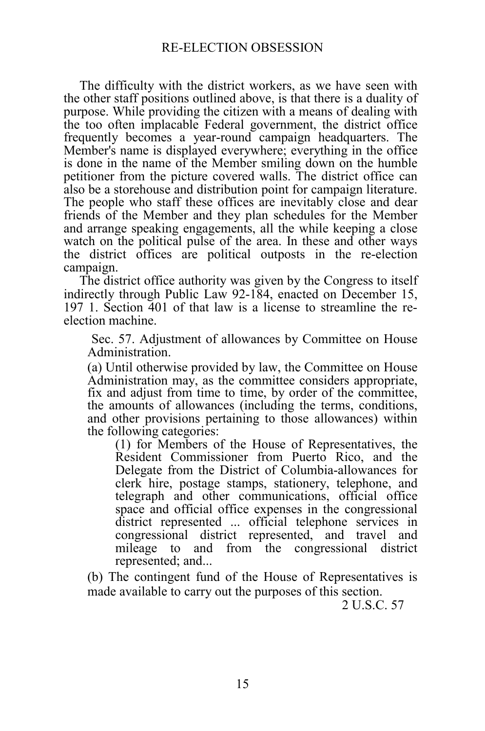The difficulty with the district workers, as we have seen with the other staff positions outlined above, is that there is a duality of purpose. While providing the citizen with a means of dealing with the too often implacable Federal government, the district office frequently becomes a year-round campaign headquarters. The Member's name is displayed everywhere; everything in the office is done in the name of the Member smiling down on the humble petitioner from the picture covered walls. The district office can also be a storehouse and distribution point for campaign literature. The people who staff these offices are inevitably close and dear friends of the Member and they plan schedules for the Member and arrange speaking engagements, all the while keeping a close watch on the political pulse of the area. In these and other ways the district offices are political outposts in the re-election campaign.

The district office authority was given by the Congress to itself indirectly through Public Law 92-184, enacted on December 15, 197 1. Section 401 of that law is a license to streamline the reelection machine.

Sec. 57. Adjustment of allowances by Committee on House Administration.

(a) Until otherwise provided by law, the Committee on House Administration may, as the committee considers appropriate, fix and adjust from time to time, by order of the committee, the amounts of allowances (including the terms, conditions, and other provisions pertaining to those allowances) within the following categories:

(1) for Members of the House of Representatives, the Resident Commissioner from Puerto Rico, and the Delegate from the District of Columbia-allowances for clerk hire, postage stamps, stationery, telephone, and telegraph and other communications, official office space and official office expenses in the congressional district represented ... official telephone services in congressional district represented, and travel and mileage to and from the congressional district represented; and...

(b) The contingent fund of the House of Representatives is made available to carry out the purposes of this section.

2 U.S.C. 57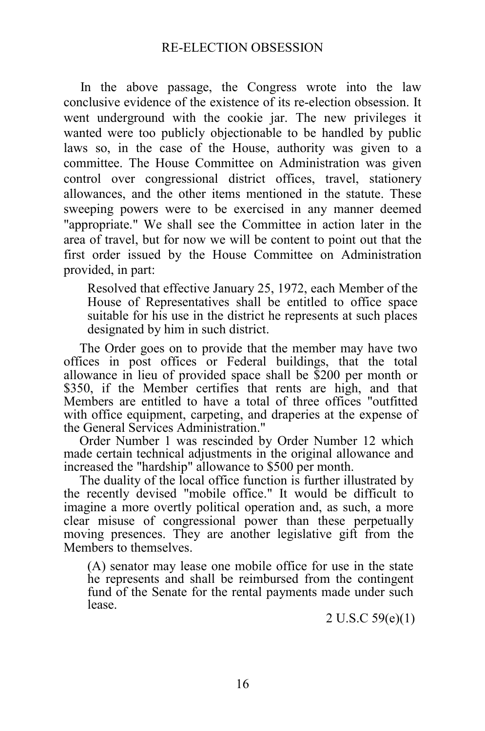In the above passage, the Congress wrote into the law conclusive evidence of the existence of its re-election obsession. It went underground with the cookie jar. The new privileges it wanted were too publicly objectionable to be handled by public laws so, in the case of the House, authority was given to a committee. The House Committee on Administration was given control over congressional district offices, travel, stationery allowances, and the other items mentioned in the statute. These sweeping powers were to be exercised in any manner deemed "appropriate." We shall see the Committee in action later in the area of travel, but for now we will be content to point out that the first order issued by the House Committee on Administration provided, in part:

Resolved that effective January 25, 1972, each Member of the House of Representatives shall be entitled to office space suitable for his use in the district he represents at such places designated by him in such district.

The Order goes on to provide that the member may have two offices in post offices or Federal buildings, that the total allowance in lieu of provided space shall be \$200 per month or \$350, if the Member certifies that rents are high, and that Members are entitled to have a total of three offices "outfitted with office equipment, carpeting, and draperies at the expense of the General Services Administration."

Order Number 1 was rescinded by Order Number 12 which made certain technical adjustments in the original allowance and increased the "hardship" allowance to \$500 per month.

The duality of the local office function is further illustrated by the recently devised "mobile office." It would be difficult to imagine a more overtly political operation and, as such, a more clear misuse of congressional power than these perpetually moving presences. They are another legislative gift from the Members to themselves.

(A) senator may lease one mobile office for use in the state he represents and shall be reimbursed from the contingent fund of the Senate for the rental payments made under such lease.

2 U.S.C 59(e)(1)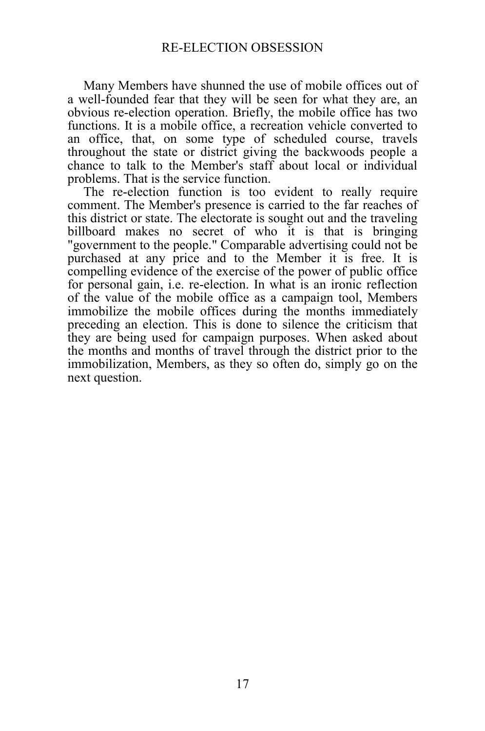Many Members have shunned the use of mobile offices out of a well-founded fear that they will be seen for what they are, an obvious re-election operation. Briefly, the mobile office has two functions. It is a mobile office, a recreation vehicle converted to an office, that, on some type of scheduled course, travels throughout the state or district giving the backwoods people a chance to talk to the Member's staff about local or individual problems. That is the service function.

The re-election function is too evident to really require comment. The Member's presence is carried to the far reaches of this district or state. The electorate is sought out and the traveling billboard makes no secret of who it is that is bringing "government to the people." Comparable advertising could not be purchased at any price and to the Member it is free. It is compelling evidence of the exercise of the power of public office for personal gain, i.e. re-election. In what is an ironic reflection of the value of the mobile office as a campaign tool, Members immobilize the mobile offices during the months immediately preceding an election. This is done to silence the criticism that they are being used for campaign purposes. When asked about the months and months of travel through the district prior to the immobilization, Members, as they so often do, simply go on the next question.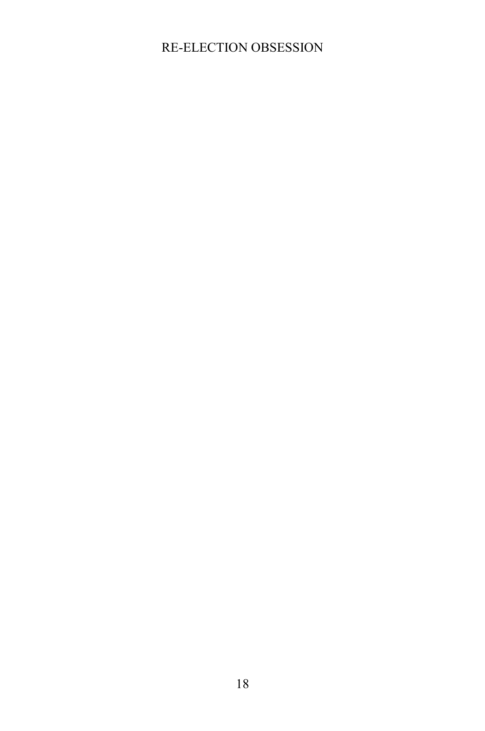#### RE-ELECTION OBSESSION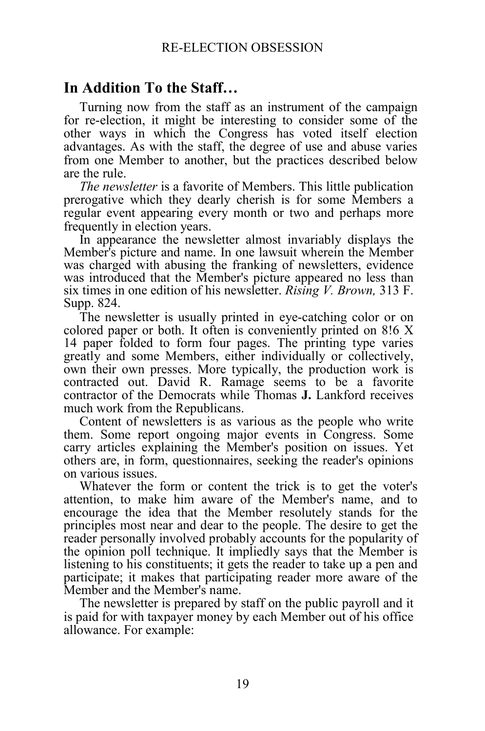#### **In Addition To the Staff…**

Turning now from the staff as an instrument of the campaign for re-election, it might be interesting to consider some of the other ways in which the Congress has voted itself election advantages. As with the staff, the degree of use and abuse varies from one Member to another, but the practices described below are the rule.

*The newsletter* is a favorite of Members. This little publication prerogative which they dearly cherish is for some Members a regular event appearing every month or two and perhaps more frequently in election years.

In appearance the newsletter almost invariably displays the Member's picture and name. In one lawsuit wherein the Member was charged with abusing the franking of newsletters, evidence was introduced that the Member's picture appeared no less than six times in one edition of his newsletter. *Rising V. Brown,* 313 F. Supp. 824.

The newsletter is usually printed in eye-catching color or on colored paper or both. It often is conveniently printed on 8!6 X 14 paper folded to form four pages. The printing type varies greatly and some Members, either individually or collectively, own their own presses. More typically, the production work is contracted out. David R. Ramage seems to be a favorite contractor of the Democrats while Thomas **J.** Lankford receives much work from the Republicans.

Content of newsletters is as various as the people who write them. Some report ongoing major events in Congress. Some carry articles explaining the Member's position on issues. Yet others are, in form, questionnaires, seeking the reader's opinions on various issues.

Whatever the form or content the trick is to get the voter's attention, to make him aware of the Member's name, and to encourage the idea that the Member resolutely stands for the principles most near and dear to the people. The desire to get the reader personally involved probably accounts for the popularity of the opinion poll technique. It impliedly says that the Member is listening to his constituents; it gets the reader to take up a pen and participate; it makes that participating reader more aware of the Member and the Member's name.

The newsletter is prepared by staff on the public payroll and it is paid for with taxpayer money by each Member out of his office allowance. For example: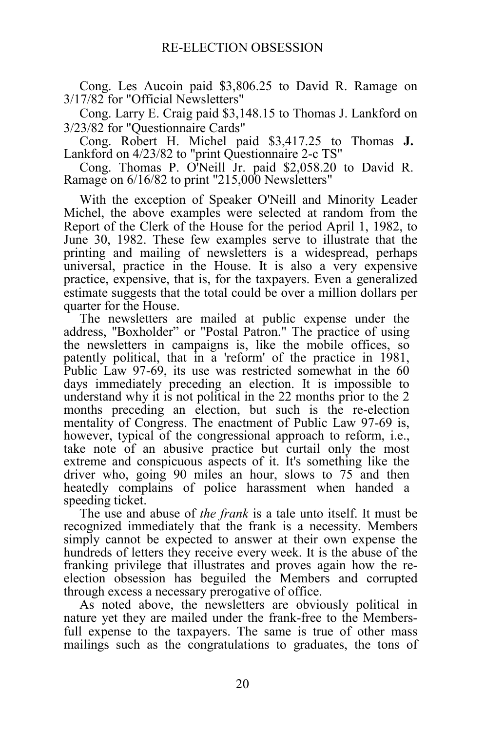Cong. Les Aucoin paid \$3,806.25 to David R. Ramage on 3/17/82 for "Official Newsletters"

Cong. Larry E. Craig paid \$3,148.15 to Thomas J. Lankford on 3/23/82 for "Questionnaire Cards"

Cong. Robert H. Michel paid \$3,417.25 to Thomas **J.** Lankford on 4/23/82 to "print Questionnaire 2-c TS"

Cong. Thomas P. O'Neill Jr. paid \$2,058.20 to David R. Ramage on 6/16/82 to print "215,000 Newsletters"

With the exception of Speaker O'Neill and Minority Leader Michel, the above examples were selected at random from the Report of the Clerk of the House for the period April 1, 1982, to June 30, 1982. These few examples serve to illustrate that the printing and mailing of newsletters is a widespread, perhaps universal, practice in the House. It is also a very expensive practice, expensive, that is, for the taxpayers. Even a generalized estimate suggests that the total could be over a million dollars per quarter for the House.

The newsletters are mailed at public expense under the address, "Boxholder" or "Postal Patron." The practice of using the newsletters in campaigns is, like the mobile offices, so patently political, that in a 'reform' of the practice in 1981, Public Law 97-69, its use was restricted somewhat in the 60 days immediately preceding an election. It is impossible to understand why it is not political in the 22 months prior to the 2 months preceding an election, but such is the re-election mentality of Congress. The enactment of Public Law 97-69 is, however, typical of the congressional approach to reform, i.e., take note of an abusive practice but curtail only the most extreme and conspicuous aspects of it. It's something like the driver who, going 90 miles an hour, slows to 75 and then heatedly complains of police harassment when handed a speeding ticket.

The use and abuse of *the frank* is a tale unto itself. It must be recognized immediately that the frank is a necessity. Members simply cannot be expected to answer at their own expense the hundreds of letters they receive every week. It is the abuse of the franking privilege that illustrates and proves again how the reelection obsession has beguiled the Members and corrupted through excess a necessary prerogative of office.

As noted above, the newsletters are obviously political in nature yet they are mailed under the frank-free to the Membersfull expense to the taxpayers. The same is true of other mass mailings such as the congratulations to graduates, the tons of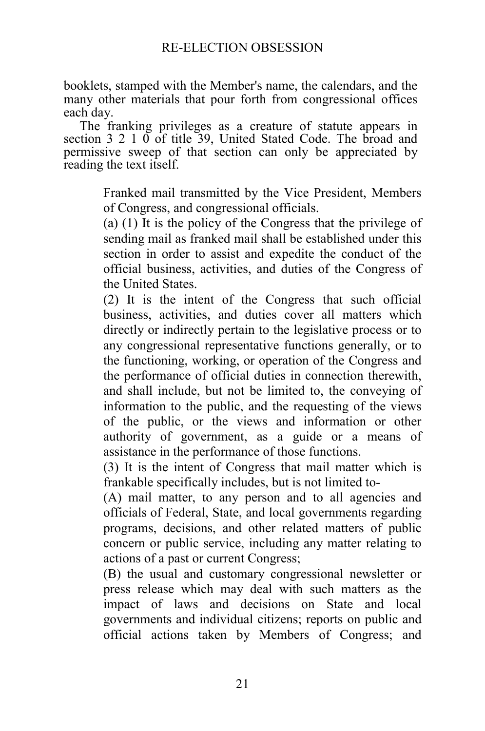booklets, stamped with the Member's name, the calendars, and the many other materials that pour forth from congressional offices each day.

The franking privileges as a creature of statute appears in section 3 2 1 0 of title 39, United Stated Code. The broad and permissive sweep of that section can only be appreciated by reading the text itself.

> Franked mail transmitted by the Vice President, Members of Congress, and congressional officials.

> (a) (1) It is the policy of the Congress that the privilege of sending mail as franked mail shall be established under this section in order to assist and expedite the conduct of the official business, activities, and duties of the Congress of the United States.

> (2) It is the intent of the Congress that such official business, activities, and duties cover all matters which directly or indirectly pertain to the legislative process or to any congressional representative functions generally, or to the functioning, working, or operation of the Congress and the performance of official duties in connection therewith, and shall include, but not be limited to, the conveying of information to the public, and the requesting of the views of the public, or the views and information or other authority of government, as a guide or a means of assistance in the performance of those functions.

> (3) It is the intent of Congress that mail matter which is frankable specifically includes, but is not limited to-

> (A) mail matter, to any person and to all agencies and officials of Federal, State, and local governments regarding programs, decisions, and other related matters of public concern or public service, including any matter relating to actions of a past or current Congress;

> (B) the usual and customary congressional newsletter or press release which may deal with such matters as the impact of laws and decisions on State and local governments and individual citizens; reports on public and official actions taken by Members of Congress; and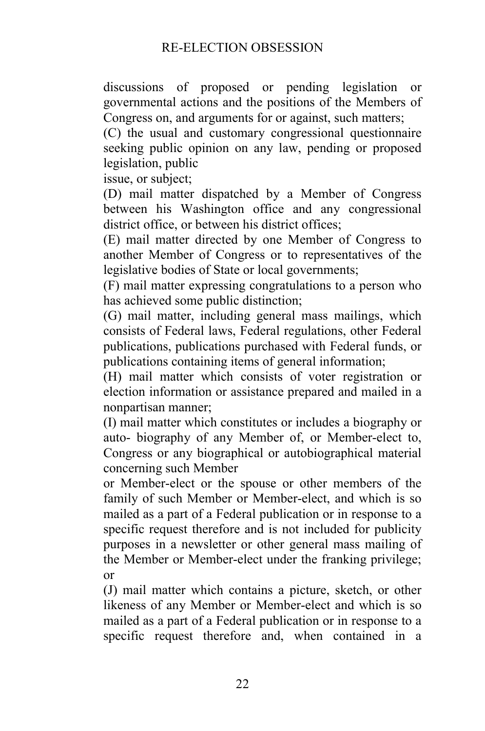discussions of proposed or pending legislation or governmental actions and the positions of the Members of Congress on, and arguments for or against, such matters;

(C) the usual and customary congressional questionnaire seeking public opinion on any law, pending or proposed legislation, public

issue, or subject;

(D) mail matter dispatched by a Member of Congress between his Washington office and any congressional district office, or between his district offices;

(E) mail matter directed by one Member of Congress to another Member of Congress or to representatives of the legislative bodies of State or local governments;

(F) mail matter expressing congratulations to a person who has achieved some public distinction;

(G) mail matter, including general mass mailings, which consists of Federal laws, Federal regulations, other Federal publications, publications purchased with Federal funds, or publications containing items of general information;

(H) mail matter which consists of voter registration or election information or assistance prepared and mailed in a nonpartisan manner;

(I) mail matter which constitutes or includes a biography or auto- biography of any Member of, or Member-elect to, Congress or any biographical or autobiographical material concerning such Member

or Member-elect or the spouse or other members of the family of such Member or Member-elect, and which is so mailed as a part of a Federal publication or in response to a specific request therefore and is not included for publicity purposes in a newsletter or other general mass mailing of the Member or Member-elect under the franking privilege; or

(J) mail matter which contains a picture, sketch, or other likeness of any Member or Member-elect and which is so mailed as a part of a Federal publication or in response to a specific request therefore and, when contained in a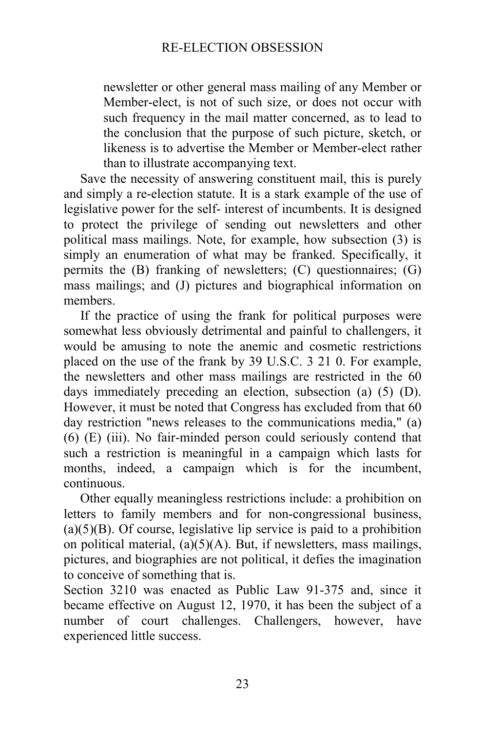newsletter or other general mass mailing of any Member or Member-elect, is not of such size, or does not occur with such frequency in the mail matter concerned, as to lead to the conclusion that the purpose of such picture, sketch, or likeness is to advertise the Member or Member-elect rather than to illustrate accompanying text.

 Save the necessity of answering constituent mail, this is purely and simply a re-election statute. It is a stark example of the use of legislative power for the self- interest of incumbents. It is designed to protect the privilege of sending out newsletters and other political mass mailings. Note, for example, how subsection (3) is simply an enumeration of what may be franked. Specifically, it permits the (B) franking of newsletters; (C) questionnaires; (G) mass mailings; and (J) pictures and biographical information on members.

 If the practice of using the frank for political purposes were somewhat less obviously detrimental and painful to challengers, it would be amusing to note the anemic and cosmetic restrictions placed on the use of the frank by 39 U.S.C. 3 21 0. For example, the newsletters and other mass mailings are restricted in the 60 days immediately preceding an election, subsection (a) (5) (D). However, it must be noted that Congress has excluded from that 60 day restriction "news releases to the communications media," (a) (6) (E) (iii). No fair-minded person could seriously contend that such a restriction is meaningful in a campaign which lasts for months, indeed, a campaign which is for the incumbent, continuous.

 Other equally meaningless restrictions include: a prohibition on letters to family members and for non-congressional business,  $(a)(5)(B)$ . Of course, legislative lip service is paid to a prohibition on political material, (a)(5)(A). But, if newsletters, mass mailings, pictures, and biographies are not political, it defies the imagination to conceive of something that is.

Section 3210 was enacted as Public Law 91-375 and, since it became effective on August 12, 1970, it has been the subject of a number of court challenges. Challengers, however, have experienced little success.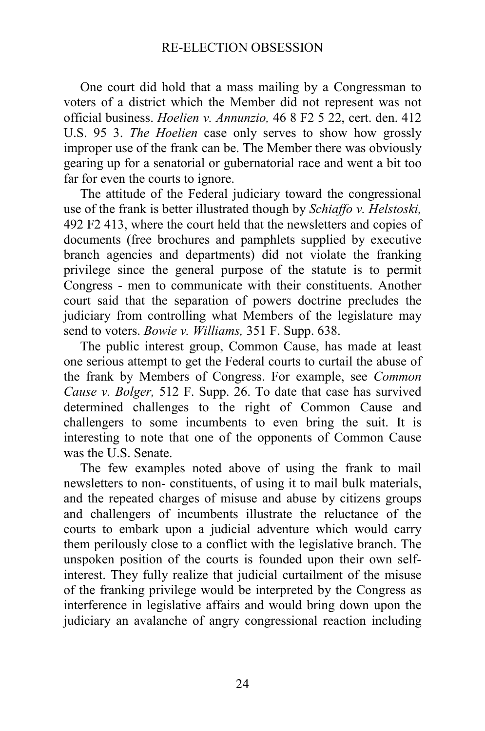One court did hold that a mass mailing by a Congressman to voters of a district which the Member did not represent was not official business. *Hoelien v. Annunzio,* 46 8 F2 5 22, cert. den. 412 U.S. 95 3. *The Hoelien* case only serves to show how grossly improper use of the frank can be. The Member there was obviously gearing up for a senatorial or gubernatorial race and went a bit too far for even the courts to ignore.

 The attitude of the Federal judiciary toward the congressional use of the frank is better illustrated though by *Schiaffo v. Helstoski,* 492 F2 413, where the court held that the newsletters and copies of documents (free brochures and pamphlets supplied by executive branch agencies and departments) did not violate the franking privilege since the general purpose of the statute is to permit Congress - men to communicate with their constituents. Another court said that the separation of powers doctrine precludes the judiciary from controlling what Members of the legislature may send to voters. *Bowie v. Williams,* 351 F. Supp. 638.

 The public interest group, Common Cause, has made at least one serious attempt to get the Federal courts to curtail the abuse of the frank by Members of Congress. For example, see *Common Cause v. Bolger,* 512 F. Supp. 26. To date that case has survived determined challenges to the right of Common Cause and challengers to some incumbents to even bring the suit. It is interesting to note that one of the opponents of Common Cause was the U.S. Senate.

 The few examples noted above of using the frank to mail newsletters to non- constituents, of using it to mail bulk materials, and the repeated charges of misuse and abuse by citizens groups and challengers of incumbents illustrate the reluctance of the courts to embark upon a judicial adventure which would carry them perilously close to a conflict with the legislative branch. The unspoken position of the courts is founded upon their own selfinterest. They fully realize that judicial curtailment of the misuse of the franking privilege would be interpreted by the Congress as interference in legislative affairs and would bring down upon the judiciary an avalanche of angry congressional reaction including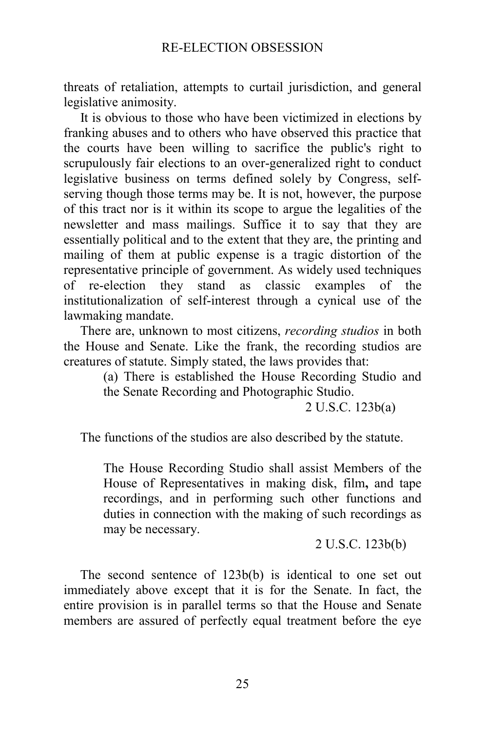threats of retaliation, attempts to curtail jurisdiction, and general legislative animosity.

 It is obvious to those who have been victimized in elections by franking abuses and to others who have observed this practice that the courts have been willing to sacrifice the public's right to scrupulously fair elections to an over-generalized right to conduct legislative business on terms defined solely by Congress, selfserving though those terms may be. It is not, however, the purpose of this tract nor is it within its scope to argue the legalities of the newsletter and mass mailings. Suffice it to say that they are essentially political and to the extent that they are, the printing and mailing of them at public expense is a tragic distortion of the representative principle of government. As widely used techniques of re-election they stand as classic examples of the institutionalization of self-interest through a cynical use of the lawmaking mandate.

 There are, unknown to most citizens, *recording studios* in both the House and Senate. Like the frank, the recording studios are creatures of statute. Simply stated, the laws provides that:

(a) There is established the House Recording Studio and the Senate Recording and Photographic Studio.

2 U.S.C. 123b(a)

The functions of the studios are also described by the statute.

The House Recording Studio shall assist Members of the House of Representatives in making disk, film**,** and tape recordings, and in performing such other functions and duties in connection with the making of such recordings as may be necessary.

2 U.S.C. 123b(b)

 The second sentence of 123b(b) is identical to one set out immediately above except that it is for the Senate. In fact, the entire provision is in parallel terms so that the House and Senate members are assured of perfectly equal treatment before the eye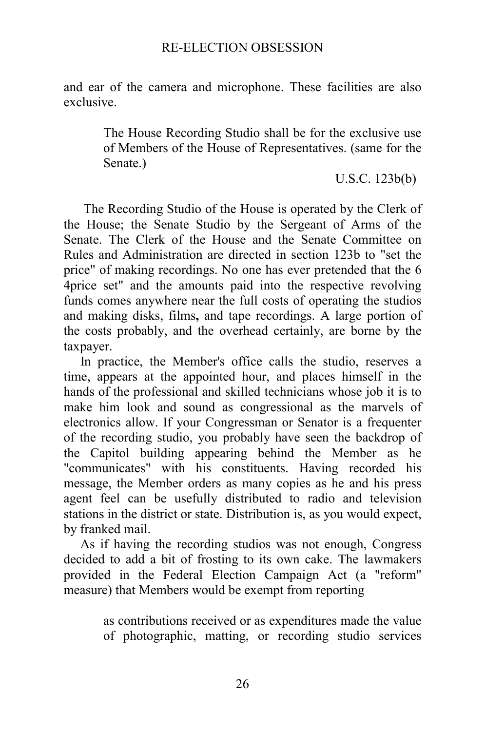and ear of the camera and microphone. These facilities are also exclusive.

> The House Recording Studio shall be for the exclusive use of Members of the House of Representatives. (same for the Senate.)

> > U.S.C. 123b(b)

 The Recording Studio of the House is operated by the Clerk of the House; the Senate Studio by the Sergeant of Arms of the Senate. The Clerk of the House and the Senate Committee on Rules and Administration are directed in section 123b to "set the price" of making recordings. No one has ever pretended that the 6 4price set" and the amounts paid into the respective revolving funds comes anywhere near the full costs of operating the studios and making disks, films**,** and tape recordings. A large portion of the costs probably, and the overhead certainly, are borne by the taxpayer.

 In practice, the Member's office calls the studio, reserves a time, appears at the appointed hour, and places himself in the hands of the professional and skilled technicians whose job it is to make him look and sound as congressional as the marvels of electronics allow. If your Congressman or Senator is a frequenter of the recording studio, you probably have seen the backdrop of the Capitol building appearing behind the Member as he "communicates" with his constituents. Having recorded his message, the Member orders as many copies as he and his press agent feel can be usefully distributed to radio and television stations in the district or state. Distribution is, as you would expect, by franked mail.

 As if having the recording studios was not enough, Congress decided to add a bit of frosting to its own cake. The lawmakers provided in the Federal Election Campaign Act (a "reform" measure) that Members would be exempt from reporting

> as contributions received or as expenditures made the value of photographic, matting, or recording studio services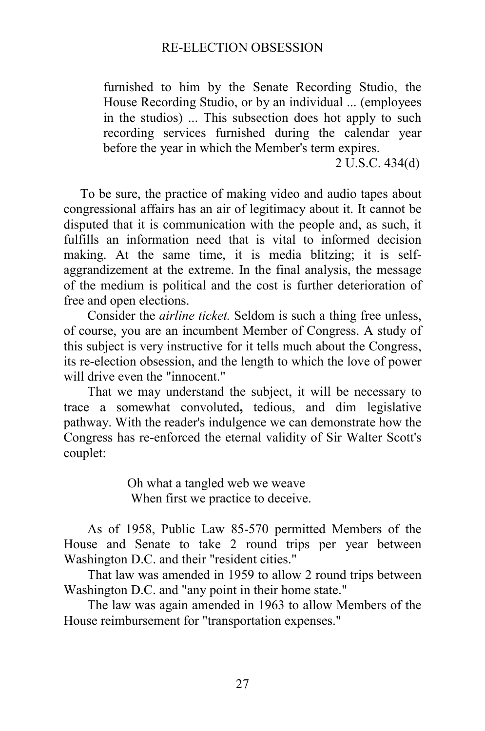furnished to him by the Senate Recording Studio, the House Recording Studio, or by an individual ... (employees in the studios) ... This subsection does hot apply to such recording services furnished during the calendar year before the year in which the Member's term expires.

2 U.S.C. 434(d)

 To be sure, the practice of making video and audio tapes about congressional affairs has an air of legitimacy about it. It cannot be disputed that it is communication with the people and, as such, it fulfills an information need that is vital to informed decision making. At the same time, it is media blitzing; it is selfaggrandizement at the extreme. In the final analysis, the message of the medium is political and the cost is further deterioration of free and open elections.

Consider the *airline ticket.* Seldom is such a thing free unless, of course, you are an incumbent Member of Congress. A study of this subject is very instructive for it tells much about the Congress, its re-election obsession, and the length to which the love of power will drive even the "innocent."

That we may understand the subject, it will be necessary to trace a somewhat convoluted**,** tedious, and dim legislative pathway. With the reader's indulgence we can demonstrate how the Congress has re-enforced the eternal validity of Sir Walter Scott's couplet:

> Oh what a tangled web we weave When first we practice to deceive.

As of 1958, Public Law 85-570 permitted Members of the House and Senate to take 2 round trips per year between Washington D.C. and their "resident cities."

That law was amended in 1959 to allow 2 round trips between Washington D.C. and "any point in their home state."

The law was again amended in 1963 to allow Members of the House reimbursement for "transportation expenses."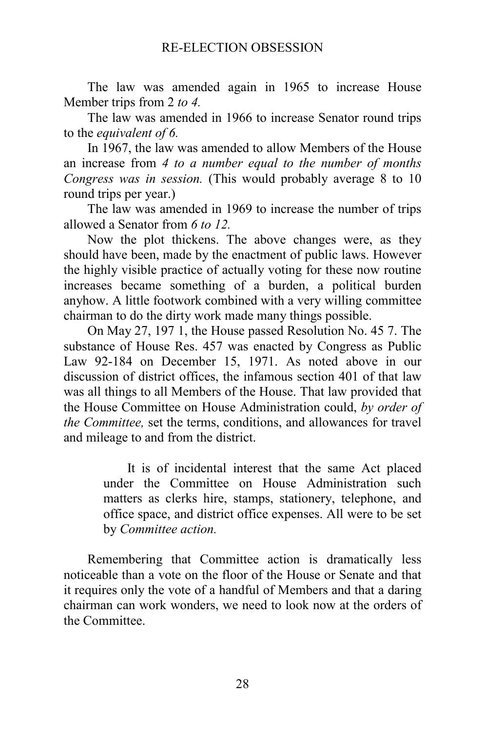The law was amended again in 1965 to increase House Member trips from 2 *to 4.*

The law was amended in 1966 to increase Senator round trips to the *equivalent of 6.*

In 1967, the law was amended to allow Members of the House an increase from *4 to a number equal to the number of months Congress was in session.* (This would probably average 8 to 10 round trips per year.)

The law was amended in 1969 to increase the number of trips allowed a Senator from *6 to 12.*

Now the plot thickens. The above changes were, as they should have been, made by the enactment of public laws. However the highly visible practice of actually voting for these now routine increases became something of a burden, a political burden anyhow. A little footwork combined with a very willing committee chairman to do the dirty work made many things possible.

On May 27, 197 1, the House passed Resolution No. 45 7. The substance of House Res. 457 was enacted by Congress as Public Law 92-184 on December 15, 1971. As noted above in our discussion of district offices, the infamous section 401 of that law was all things to all Members of the House. That law provided that the House Committee on House Administration could, *by order of the Committee,* set the terms, conditions, and allowances for travel and mileage to and from the district.

> It is of incidental interest that the same Act placed under the Committee on House Administration such matters as clerks hire, stamps, stationery, telephone, and office space, and district office expenses. All were to be set by *Committee action.*

Remembering that Committee action is dramatically less noticeable than a vote on the floor of the House or Senate and that it requires only the vote of a handful of Members and that a daring chairman can work wonders, we need to look now at the orders of the Committee.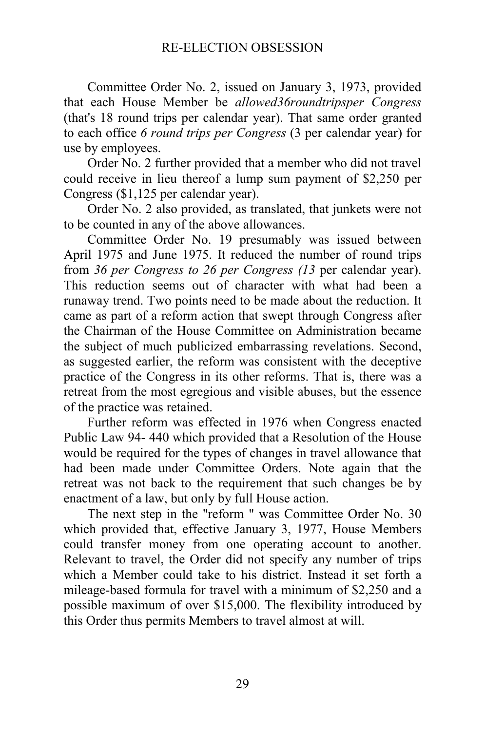Committee Order No. 2, issued on January 3, 1973, provided that each House Member be *allowed36roundtripsper Congress* (that's 18 round trips per calendar year). That same order granted to each office *6 round trips per Congress* (3 per calendar year) for use by employees.

Order No. 2 further provided that a member who did not travel could receive in lieu thereof a lump sum payment of \$2,250 per Congress (\$1,125 per calendar year).

Order No. 2 also provided, as translated, that junkets were not to be counted in any of the above allowances.

Committee Order No. 19 presumably was issued between April 1975 and June 1975. It reduced the number of round trips from *36 per Congress to 26 per Congress (13* per calendar year). This reduction seems out of character with what had been a runaway trend. Two points need to be made about the reduction. It came as part of a reform action that swept through Congress after the Chairman of the House Committee on Administration became the subject of much publicized embarrassing revelations. Second, as suggested earlier, the reform was consistent with the deceptive practice of the Congress in its other reforms. That is, there was a retreat from the most egregious and visible abuses, but the essence of the practice was retained.

Further reform was effected in 1976 when Congress enacted Public Law 94- 440 which provided that a Resolution of the House would be required for the types of changes in travel allowance that had been made under Committee Orders. Note again that the retreat was not back to the requirement that such changes be by enactment of a law, but only by full House action.

The next step in the "reform " was Committee Order No. 30 which provided that, effective January 3, 1977, House Members could transfer money from one operating account to another. Relevant to travel, the Order did not specify any number of trips which a Member could take to his district. Instead it set forth a mileage-based formula for travel with a minimum of \$2,250 and a possible maximum of over \$15,000. The flexibility introduced by this Order thus permits Members to travel almost at will.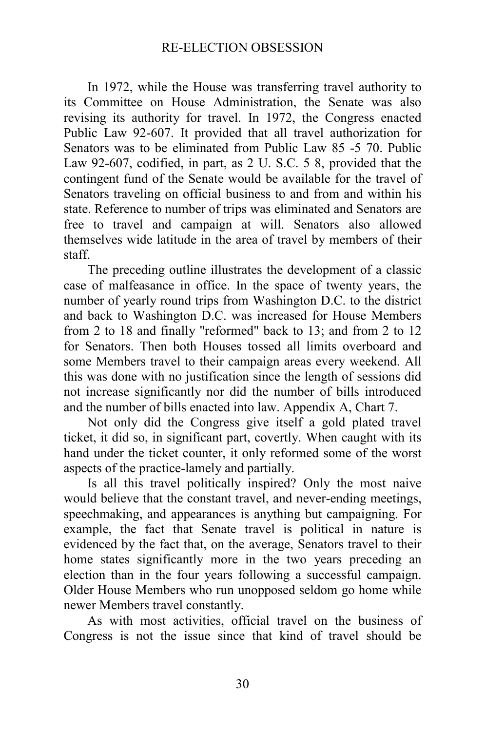In 1972, while the House was transferring travel authority to its Committee on House Administration, the Senate was also revising its authority for travel. In 1972, the Congress enacted Public Law 92-607. It provided that all travel authorization for Senators was to be eliminated from Public Law 85 -5 70. Public Law 92-607, codified, in part, as 2 U. S.C. 5 8, provided that the contingent fund of the Senate would be available for the travel of Senators traveling on official business to and from and within his state. Reference to number of trips was eliminated and Senators are free to travel and campaign at will. Senators also allowed themselves wide latitude in the area of travel by members of their staff.

The preceding outline illustrates the development of a classic case of malfeasance in office. In the space of twenty years, the number of yearly round trips from Washington D.C. to the district and back to Washington D.C. was increased for House Members from 2 to 18 and finally "reformed" back to 13; and from 2 to 12 for Senators. Then both Houses tossed all limits overboard and some Members travel to their campaign areas every weekend. All this was done with no justification since the length of sessions did not increase significantly nor did the number of bills introduced and the number of bills enacted into law. Appendix A, Chart 7.

Not only did the Congress give itself a gold plated travel ticket, it did so, in significant part, covertly. When caught with its hand under the ticket counter, it only reformed some of the worst aspects of the practice-lamely and partially.

Is all this travel politically inspired? Only the most naive would believe that the constant travel, and never-ending meetings, speechmaking, and appearances is anything but campaigning. For example, the fact that Senate travel is political in nature is evidenced by the fact that, on the average, Senators travel to their home states significantly more in the two years preceding an election than in the four years following a successful campaign. Older House Members who run unopposed seldom go home while newer Members travel constantly.

As with most activities, official travel on the business of Congress is not the issue since that kind of travel should be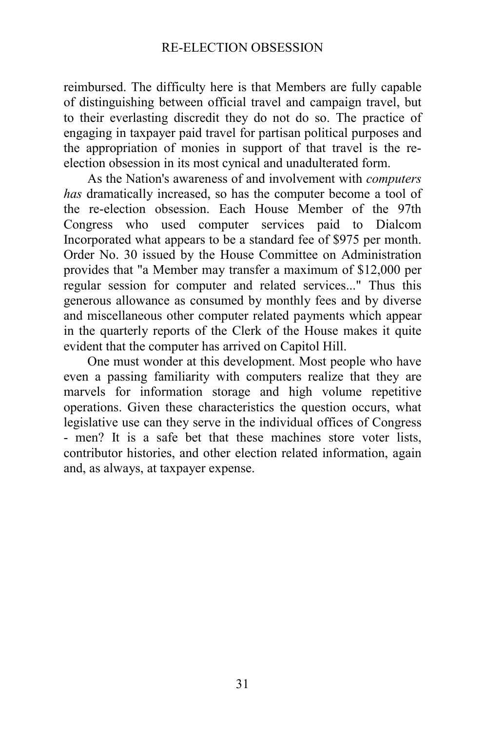reimbursed. The difficulty here is that Members are fully capable of distinguishing between official travel and campaign travel, but to their everlasting discredit they do not do so. The practice of engaging in taxpayer paid travel for partisan political purposes and the appropriation of monies in support of that travel is the reelection obsession in its most cynical and unadulterated form.

As the Nation's awareness of and involvement with *computers has* dramatically increased, so has the computer become a tool of the re-election obsession. Each House Member of the 97th Congress who used computer services paid to Dialcom Incorporated what appears to be a standard fee of \$975 per month. Order No. 30 issued by the House Committee on Administration provides that "a Member may transfer a maximum of \$12,000 per regular session for computer and related services..." Thus this generous allowance as consumed by monthly fees and by diverse and miscellaneous other computer related payments which appear in the quarterly reports of the Clerk of the House makes it quite evident that the computer has arrived on Capitol Hill.

One must wonder at this development. Most people who have even a passing familiarity with computers realize that they are marvels for information storage and high volume repetitive operations. Given these characteristics the question occurs, what legislative use can they serve in the individual offices of Congress - men? It is a safe bet that these machines store voter lists, contributor histories, and other election related information, again and, as always, at taxpayer expense.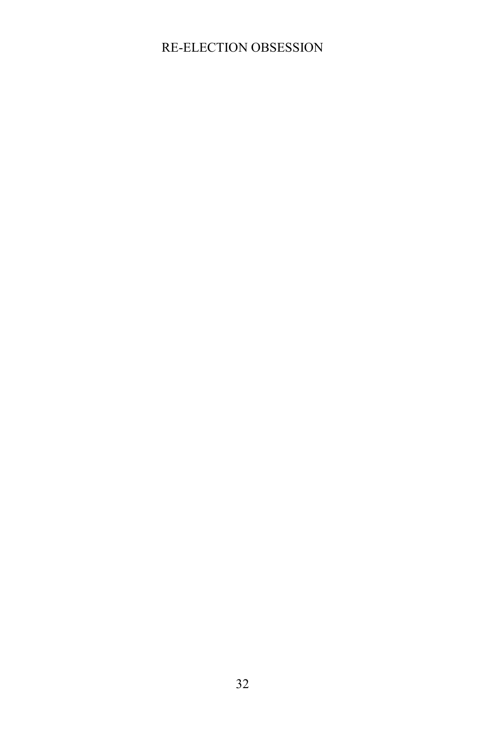#### RE-ELECTION OBSESSION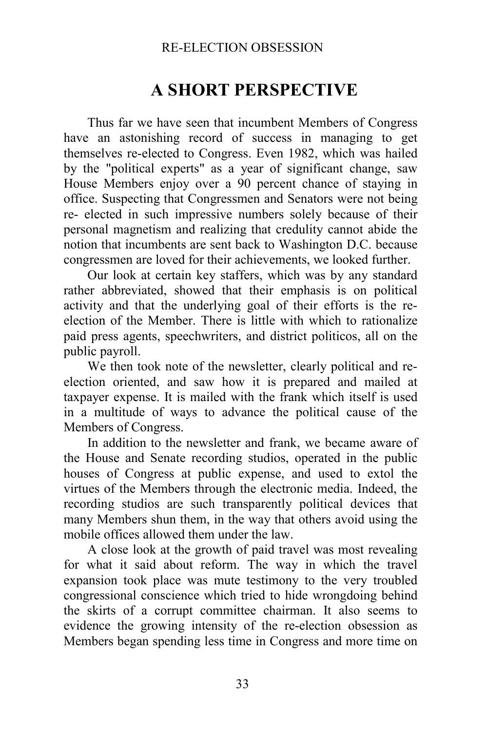## RE-ELECTION OBSESSION

# **A SHORT PERSPECTIVE**

Thus far we have seen that incumbent Members of Congress have an astonishing record of success in managing to get themselves re-elected to Congress. Even 1982, which was hailed by the "political experts" as a year of significant change, saw House Members enjoy over a 90 percent chance of staying in office. Suspecting that Congressmen and Senators were not being re- elected in such impressive numbers solely because of their personal magnetism and realizing that credulity cannot abide the notion that incumbents are sent back to Washington D.C. because congressmen are loved for their achievements, we looked further.

Our look at certain key staffers, which was by any standard rather abbreviated, showed that their emphasis is on political activity and that the underlying goal of their efforts is the reelection of the Member. There is little with which to rationalize paid press agents, speechwriters, and district politicos, all on the public payroll.

We then took note of the newsletter, clearly political and reelection oriented, and saw how it is prepared and mailed at taxpayer expense. It is mailed with the frank which itself is used in a multitude of ways to advance the political cause of the Members of Congress.

In addition to the newsletter and frank, we became aware of the House and Senate recording studios, operated in the public houses of Congress at public expense, and used to extol the virtues of the Members through the electronic media. Indeed, the recording studios are such transparently political devices that many Members shun them, in the way that others avoid using the mobile offices allowed them under the law.

A close look at the growth of paid travel was most revealing for what it said about reform. The way in which the travel expansion took place was mute testimony to the very troubled congressional conscience which tried to hide wrongdoing behind the skirts of a corrupt committee chairman. It also seems to evidence the growing intensity of the re-election obsession as Members began spending less time in Congress and more time on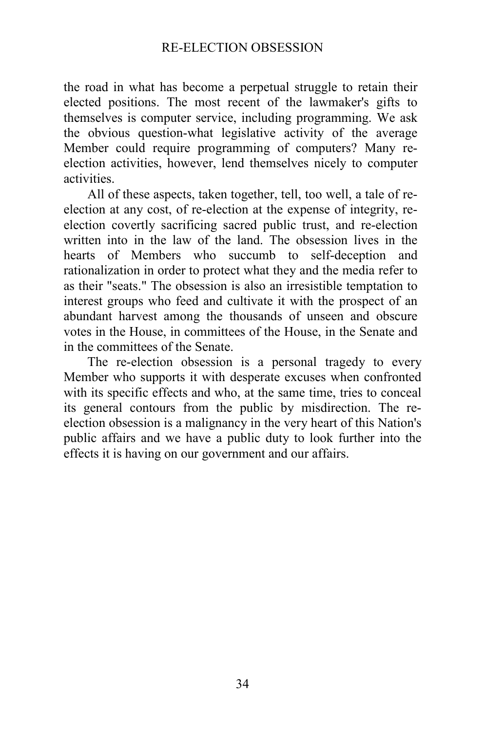the road in what has become a perpetual struggle to retain their elected positions. The most recent of the lawmaker's gifts to themselves is computer service, including programming. We ask the obvious question-what legislative activity of the average Member could require programming of computers? Many reelection activities, however, lend themselves nicely to computer activities.

All of these aspects, taken together, tell, too well, a tale of reelection at any cost, of re-election at the expense of integrity, reelection covertly sacrificing sacred public trust, and re-election written into in the law of the land. The obsession lives in the hearts of Members who succumb to self-deception and rationalization in order to protect what they and the media refer to as their "seats." The obsession is also an irresistible temptation to interest groups who feed and cultivate it with the prospect of an abundant harvest among the thousands of unseen and obscure votes in the House, in committees of the House, in the Senate and in the committees of the Senate.

The re-election obsession is a personal tragedy to every Member who supports it with desperate excuses when confronted with its specific effects and who, at the same time, tries to conceal its general contours from the public by misdirection. The reelection obsession is a malignancy in the very heart of this Nation's public affairs and we have a public duty to look further into the effects it is having on our government and our affairs.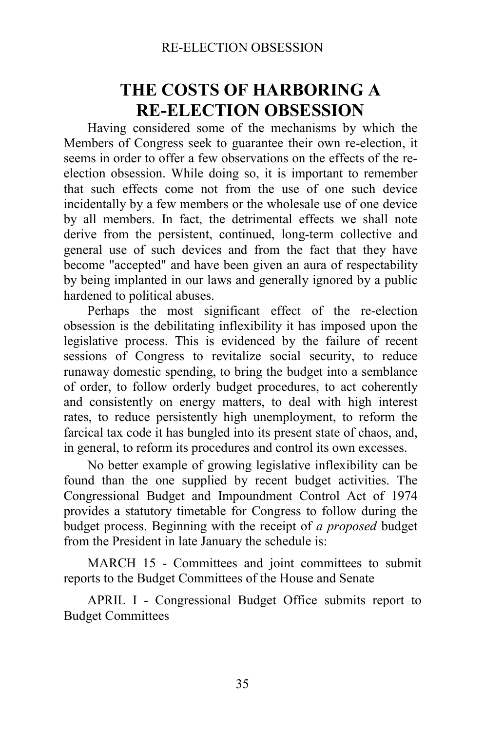# **THE COSTS OF HARBORING A RE-ELECTION OBSESSION**

Having considered some of the mechanisms by which the Members of Congress seek to guarantee their own re-election, it seems in order to offer a few observations on the effects of the reelection obsession. While doing so, it is important to remember that such effects come not from the use of one such device incidentally by a few members or the wholesale use of one device by all members. In fact, the detrimental effects we shall note derive from the persistent, continued, long-term collective and general use of such devices and from the fact that they have become "accepted" and have been given an aura of respectability by being implanted in our laws and generally ignored by a public hardened to political abuses.

Perhaps the most significant effect of the re-election obsession is the debilitating inflexibility it has imposed upon the legislative process. This is evidenced by the failure of recent sessions of Congress to revitalize social security, to reduce runaway domestic spending, to bring the budget into a semblance of order, to follow orderly budget procedures, to act coherently and consistently on energy matters, to deal with high interest rates, to reduce persistently high unemployment, to reform the farcical tax code it has bungled into its present state of chaos, and, in general, to reform its procedures and control its own excesses.

No better example of growing legislative inflexibility can be found than the one supplied by recent budget activities. The Congressional Budget and Impoundment Control Act of 1974 provides a statutory timetable for Congress to follow during the budget process. Beginning with the receipt of *a proposed* budget from the President in late January the schedule is:

MARCH 15 - Committees and joint committees to submit reports to the Budget Committees of the House and Senate

APRIL I - Congressional Budget Office submits report to Budget Committees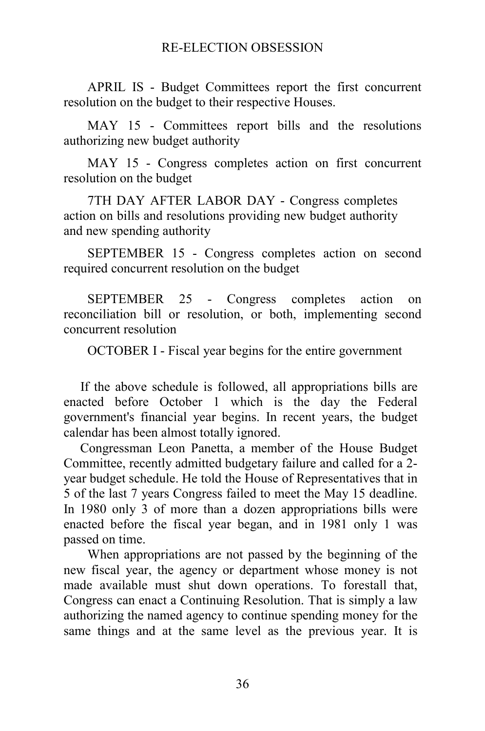APRIL IS - Budget Committees report the first concurrent resolution on the budget to their respective Houses.

MAY 15 - Committees report bills and the resolutions authorizing new budget authority

MAY 15 - Congress completes action on first concurrent resolution on the budget

7TH DAY AFTER LABOR DAY - Congress completes action on bills and resolutions providing new budget authority and new spending authority

SEPTEMBER 15 - Congress completes action on second required concurrent resolution on the budget

SEPTEMBER 25 - Congress completes action on reconciliation bill or resolution, or both, implementing second concurrent resolution

OCTOBER I - Fiscal year begins for the entire government

 If the above schedule is followed, all appropriations bills are enacted before October 1 which is the day the Federal government's financial year begins. In recent years, the budget calendar has been almost totally ignored.

 Congressman Leon Panetta, a member of the House Budget Committee, recently admitted budgetary failure and called for a 2 year budget schedule. He told the House of Representatives that in 5 of the last 7 years Congress failed to meet the May 15 deadline. In 1980 only 3 of more than a dozen appropriations bills were enacted before the fiscal year began, and in 1981 only 1 was passed on time.

When appropriations are not passed by the beginning of the new fiscal year, the agency or department whose money is not made available must shut down operations. To forestall that, Congress can enact a Continuing Resolution. That is simply a law authorizing the named agency to continue spending money for the same things and at the same level as the previous year. It is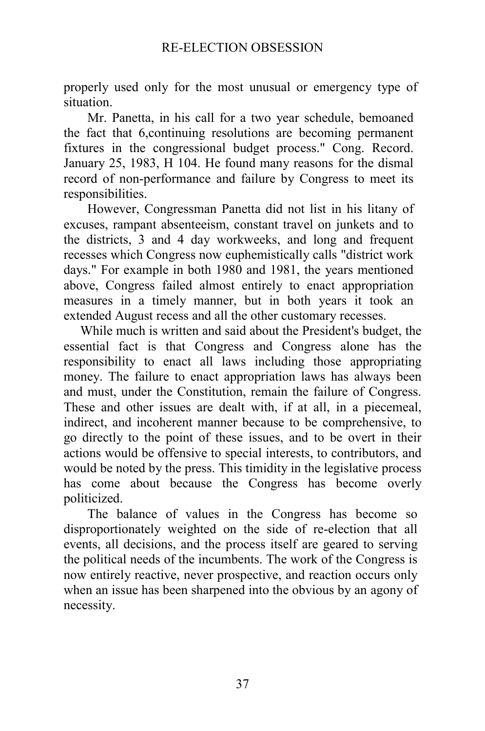properly used only for the most unusual or emergency type of situation.

Mr. Panetta, in his call for a two year schedule, bemoaned the fact that 6,continuing resolutions are becoming permanent fixtures in the congressional budget process." Cong. Record. January 25, 1983, H 104. He found many reasons for the dismal record of non-performance and failure by Congress to meet its responsibilities.

However, Congressman Panetta did not list in his litany of excuses, rampant absenteeism, constant travel on junkets and to the districts, 3 and 4 day workweeks, and long and frequent recesses which Congress now euphemistically calls "district work days." For example in both 1980 and 1981, the years mentioned above, Congress failed almost entirely to enact appropriation measures in a timely manner, but in both years it took an extended August recess and all the other customary recesses.

 While much is written and said about the President's budget, the essential fact is that Congress and Congress alone has the responsibility to enact all laws including those appropriating money. The failure to enact appropriation laws has always been and must, under the Constitution, remain the failure of Congress. These and other issues are dealt with, if at all, in a piecemeal, indirect, and incoherent manner because to be comprehensive, to go directly to the point of these issues, and to be overt in their actions would be offensive to special interests, to contributors, and would be noted by the press. This timidity in the legislative process has come about because the Congress has become overly politicized.

The balance of values in the Congress has become so disproportionately weighted on the side of re-election that all events, all decisions, and the process itself are geared to serving the political needs of the incumbents. The work of the Congress is now entirely reactive, never prospective, and reaction occurs only when an issue has been sharpened into the obvious by an agony of necessity.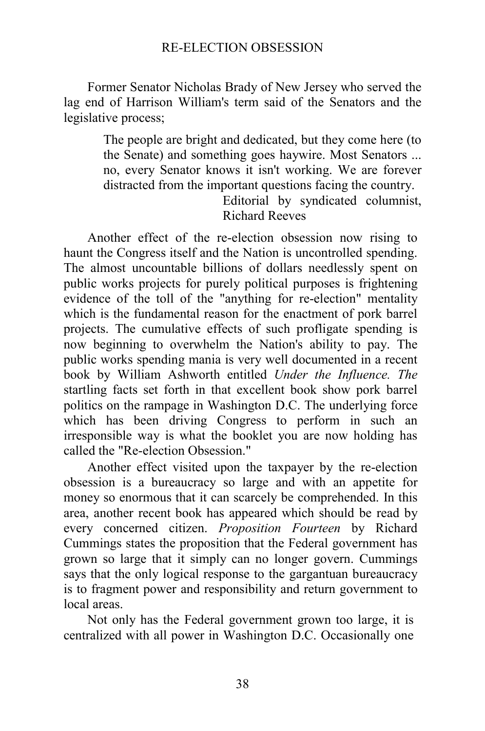Former Senator Nicholas Brady of New Jersey who served the lag end of Harrison William's term said of the Senators and the legislative process;

> The people are bright and dedicated, but they come here (to the Senate) and something goes haywire. Most Senators ... no, every Senator knows it isn't working. We are forever distracted from the important questions facing the country.

Editorial by syndicated columnist, Richard Reeves

Another effect of the re-election obsession now rising to haunt the Congress itself and the Nation is uncontrolled spending. The almost uncountable billions of dollars needlessly spent on public works projects for purely political purposes is frightening evidence of the toll of the "anything for re-election" mentality which is the fundamental reason for the enactment of pork barrel projects. The cumulative effects of such profligate spending is now beginning to overwhelm the Nation's ability to pay. The public works spending mania is very well documented in a recent book by William Ashworth entitled *Under the Influence. The* startling facts set forth in that excellent book show pork barrel politics on the rampage in Washington D.C. The underlying force which has been driving Congress to perform in such an irresponsible way is what the booklet you are now holding has called the "Re-election Obsession."

Another effect visited upon the taxpayer by the re-election obsession is a bureaucracy so large and with an appetite for money so enormous that it can scarcely be comprehended. In this area, another recent book has appeared which should be read by every concerned citizen. *Proposition Fourteen* by Richard Cummings states the proposition that the Federal government has grown so large that it simply can no longer govern. Cummings says that the only logical response to the gargantuan bureaucracy is to fragment power and responsibility and return government to local areas.

Not only has the Federal government grown too large, it is centralized with all power in Washington D.C. Occasionally one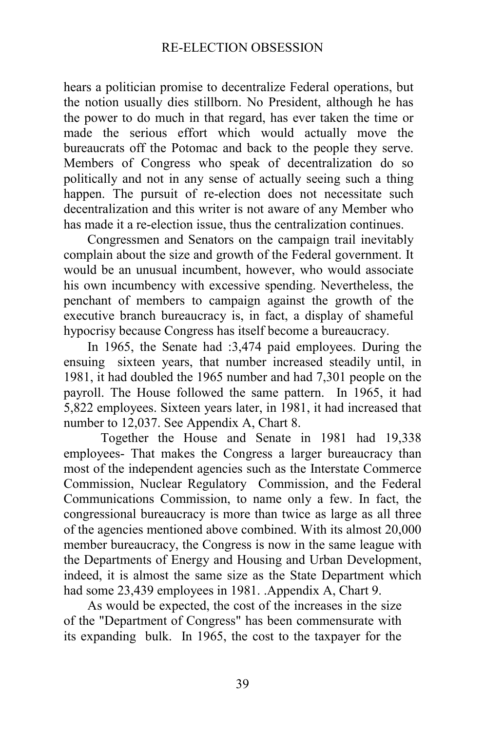hears a politician promise to decentralize Federal operations, but the notion usually dies stillborn. No President, although he has the power to do much in that regard, has ever taken the time or made the serious effort which would actually move the bureaucrats off the Potomac and back to the people they serve. Members of Congress who speak of decentralization do so politically and not in any sense of actually seeing such a thing happen. The pursuit of re-election does not necessitate such decentralization and this writer is not aware of any Member who has made it a re-election issue, thus the centralization continues.

Congressmen and Senators on the campaign trail inevitably complain about the size and growth of the Federal government. It would be an unusual incumbent, however, who would associate his own incumbency with excessive spending. Nevertheless, the penchant of members to campaign against the growth of the executive branch bureaucracy is, in fact, a display of shameful hypocrisy because Congress has itself become a bureaucracy.

In 1965, the Senate had :3,474 paid employees. During the ensuing sixteen years, that number increased steadily until, in 1981, it had doubled the 1965 number and had 7,301 people on the payroll. The House followed the same pattern. In 1965, it had 5,822 employees. Sixteen years later, in 1981, it had increased that number to 12,037. See Appendix A, Chart 8.

 Together the House and Senate in 1981 had 19,338 employees- That makes the Congress a larger bureaucracy than most of the independent agencies such as the Interstate Commerce Commission, Nuclear Regulatory Commission, and the Federal Communications Commission, to name only a few. In fact, the congressional bureaucracy is more than twice as large as all three of the agencies mentioned above combined. With its almost 20,000 member bureaucracy, the Congress is now in the same league with the Departments of Energy and Housing and Urban Development, indeed, it is almost the same size as the State Department which had some 23,439 employees in 1981. .Appendix A, Chart 9.

As would be expected, the cost of the increases in the size of the "Department of Congress" has been commensurate with its expanding bulk. In 1965, the cost to the taxpayer for the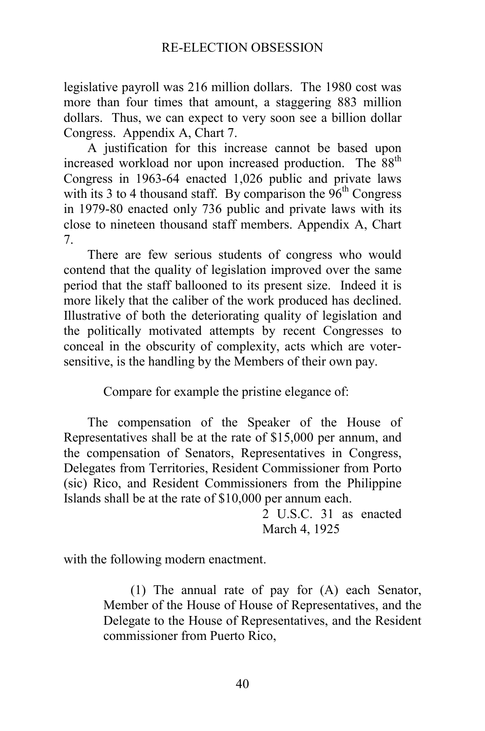legislative payroll was 216 million dollars. The 1980 cost was more than four times that amount, a staggering 883 million dollars. Thus, we can expect to very soon see a billion dollar Congress. Appendix A, Chart 7.

A justification for this increase cannot be based upon increased workload nor upon increased production. The 88<sup>th</sup> Congress in 1963-64 enacted 1,026 public and private laws with its 3 to 4 thousand staff. By comparison the  $96<sup>th</sup>$  Congress in 1979-80 enacted only 736 public and private laws with its close to nineteen thousand staff members. Appendix A, Chart 7.

There are few serious students of congress who would contend that the quality of legislation improved over the same period that the staff ballooned to its present size. Indeed it is more likely that the caliber of the work produced has declined. Illustrative of both the deteriorating quality of legislation and the politically motivated attempts by recent Congresses to conceal in the obscurity of complexity, acts which are votersensitive, is the handling by the Members of their own pay.

Compare for example the pristine elegance of:

The compensation of the Speaker of the House of Representatives shall be at the rate of \$15,000 per annum, and the compensation of Senators, Representatives in Congress, Delegates from Territories, Resident Commissioner from Porto (sic) Rico, and Resident Commissioners from the Philippine Islands shall be at the rate of \$10,000 per annum each.

> 2 U.S.C. 31 as enacted March 4, 1925

with the following modern enactment.

 (1) The annual rate of pay for (A) each Senator, Member of the House of House of Representatives, and the Delegate to the House of Representatives, and the Resident commissioner from Puerto Rico,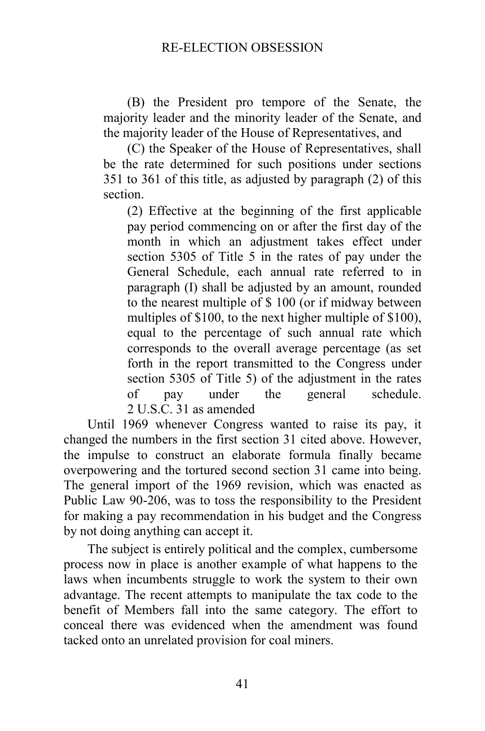(B) the President pro tempore of the Senate, the majority leader and the minority leader of the Senate, and the majority leader of the House of Representatives, and

(C) the Speaker of the House of Representatives, shall be the rate determined for such positions under sections 351 to 361 of this title, as adjusted by paragraph (2) of this section.

(2) Effective at the beginning of the first applicable pay period commencing on or after the first day of the month in which an adjustment takes effect under section 5305 of Title 5 in the rates of pay under the General Schedule, each annual rate referred to in paragraph (I) shall be adjusted by an amount, rounded to the nearest multiple of \$ 100 (or if midway between multiples of \$100, to the next higher multiple of \$100), equal to the percentage of such annual rate which corresponds to the overall average percentage (as set forth in the report transmitted to the Congress under section 5305 of Title 5) of the adjustment in the rates of pay under the general schedule. 2 U.S.C. 31 as amended

Until 1969 whenever Congress wanted to raise its pay, it changed the numbers in the first section 31 cited above. However, the impulse to construct an elaborate formula finally became overpowering and the tortured second section 31 came into being. The general import of the 1969 revision, which was enacted as Public Law 90-206, was to toss the responsibility to the President for making a pay recommendation in his budget and the Congress by not doing anything can accept it.

The subject is entirely political and the complex, cumbersome process now in place is another example of what happens to the laws when incumbents struggle to work the system to their own advantage. The recent attempts to manipulate the tax code to the benefit of Members fall into the same category. The effort to conceal there was evidenced when the amendment was found tacked onto an unrelated provision for coal miners.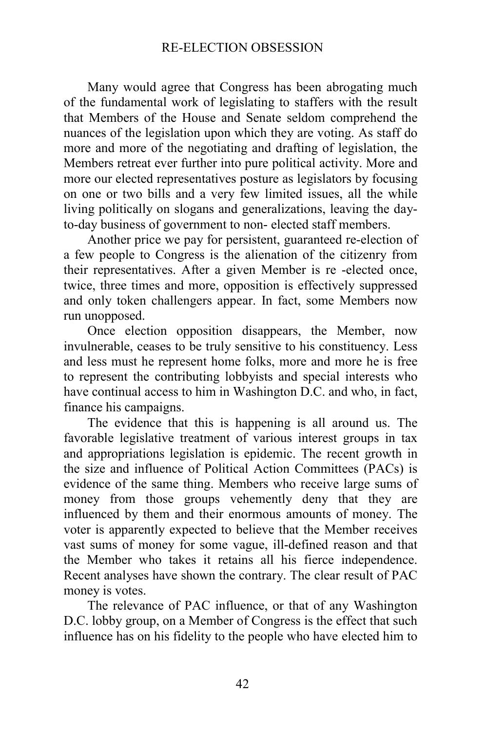Many would agree that Congress has been abrogating much of the fundamental work of legislating to staffers with the result that Members of the House and Senate seldom comprehend the nuances of the legislation upon which they are voting. As staff do more and more of the negotiating and drafting of legislation, the Members retreat ever further into pure political activity. More and more our elected representatives posture as legislators by focusing on one or two bills and a very few limited issues, all the while living politically on slogans and generalizations, leaving the dayto-day business of government to non- elected staff members.

Another price we pay for persistent, guaranteed re-election of a few people to Congress is the alienation of the citizenry from their representatives. After a given Member is re -elected once, twice, three times and more, opposition is effectively suppressed and only token challengers appear. In fact, some Members now run unopposed.

Once election opposition disappears, the Member, now invulnerable, ceases to be truly sensitive to his constituency. Less and less must he represent home folks, more and more he is free to represent the contributing lobbyists and special interests who have continual access to him in Washington D.C. and who, in fact, finance his campaigns.

The evidence that this is happening is all around us. The favorable legislative treatment of various interest groups in tax and appropriations legislation is epidemic. The recent growth in the size and influence of Political Action Committees (PACs) is evidence of the same thing. Members who receive large sums of money from those groups vehemently deny that they are influenced by them and their enormous amounts of money. The voter is apparently expected to believe that the Member receives vast sums of money for some vague, ill-defined reason and that the Member who takes it retains all his fierce independence. Recent analyses have shown the contrary. The clear result of PAC money is votes.

The relevance of PAC influence, or that of any Washington D.C. lobby group, on a Member of Congress is the effect that such influence has on his fidelity to the people who have elected him to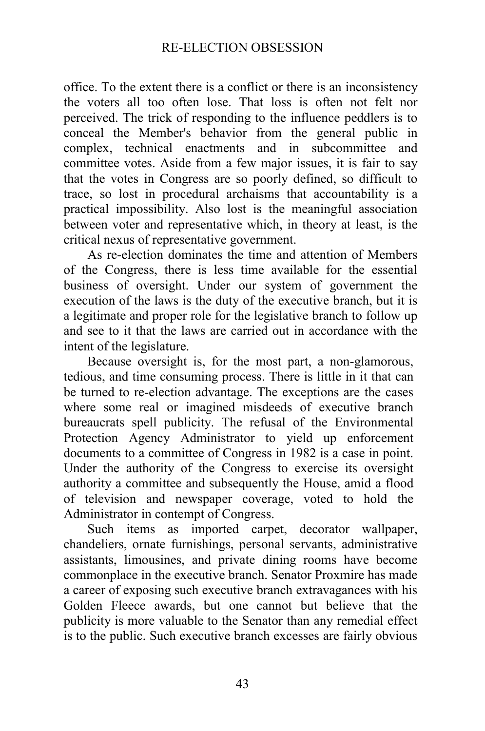office. To the extent there is a conflict or there is an inconsistency the voters all too often lose. That loss is often not felt nor perceived. The trick of responding to the influence peddlers is to conceal the Member's behavior from the general public in complex, technical enactments and in subcommittee and committee votes. Aside from a few major issues, it is fair to say that the votes in Congress are so poorly defined, so difficult to trace, so lost in procedural archaisms that accountability is a practical impossibility. Also lost is the meaningful association between voter and representative which, in theory at least, is the critical nexus of representative government.

As re-election dominates the time and attention of Members of the Congress, there is less time available for the essential business of oversight. Under our system of government the execution of the laws is the duty of the executive branch, but it is a legitimate and proper role for the legislative branch to follow up and see to it that the laws are carried out in accordance with the intent of the legislature.

Because oversight is, for the most part, a non-glamorous, tedious, and time consuming process. There is little in it that can be turned to re-election advantage. The exceptions are the cases where some real or imagined misdeeds of executive branch bureaucrats spell publicity. The refusal of the Environmental Protection Agency Administrator to yield up enforcement documents to a committee of Congress in 1982 is a case in point. Under the authority of the Congress to exercise its oversight authority a committee and subsequently the House, amid a flood of television and newspaper coverage, voted to hold the Administrator in contempt of Congress.

Such items as imported carpet, decorator wallpaper, chandeliers, ornate furnishings, personal servants, administrative assistants, limousines, and private dining rooms have become commonplace in the executive branch. Senator Proxmire has made a career of exposing such executive branch extravagances with his Golden Fleece awards, but one cannot but believe that the publicity is more valuable to the Senator than any remedial effect is to the public. Such executive branch excesses are fairly obvious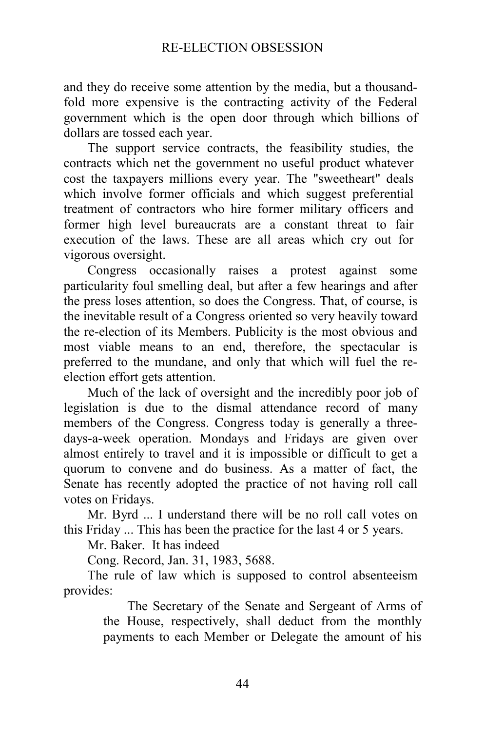and they do receive some attention by the media, but a thousandfold more expensive is the contracting activity of the Federal government which is the open door through which billions of dollars are tossed each year.

The support service contracts, the feasibility studies, the contracts which net the government no useful product whatever cost the taxpayers millions every year. The "sweetheart" deals which involve former officials and which suggest preferential treatment of contractors who hire former military officers and former high level bureaucrats are a constant threat to fair execution of the laws. These are all areas which cry out for vigorous oversight.

Congress occasionally raises a protest against some particularity foul smelling deal, but after a few hearings and after the press loses attention, so does the Congress. That, of course, is the inevitable result of a Congress oriented so very heavily toward the re-election of its Members. Publicity is the most obvious and most viable means to an end, therefore, the spectacular is preferred to the mundane, and only that which will fuel the reelection effort gets attention.

Much of the lack of oversight and the incredibly poor job of legislation is due to the dismal attendance record of many members of the Congress. Congress today is generally a threedays-a-week operation. Mondays and Fridays are given over almost entirely to travel and it is impossible or difficult to get a quorum to convene and do business. As a matter of fact, the Senate has recently adopted the practice of not having roll call votes on Fridays.

Mr. Byrd ... I understand there will be no roll call votes on this Friday ... This has been the practice for the last 4 or 5 years.

Mr. Baker. It has indeed

Cong. Record, Jan. 31, 1983, 5688.

The rule of law which is supposed to control absenteeism provides:

> The Secretary of the Senate and Sergeant of Arms of the House, respectively, shall deduct from the monthly payments to each Member or Delegate the amount of his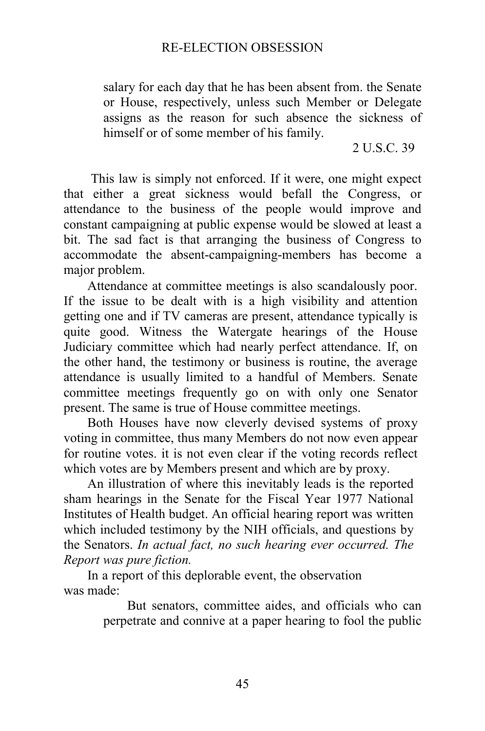salary for each day that he has been absent from. the Senate or House, respectively, unless such Member or Delegate assigns as the reason for such absence the sickness of himself or of some member of his family.

2 U.S.C. 39

 This law is simply not enforced. If it were, one might expect that either a great sickness would befall the Congress, or attendance to the business of the people would improve and constant campaigning at public expense would be slowed at least a bit. The sad fact is that arranging the business of Congress to accommodate the absent-campaigning-members has become a major problem.

Attendance at committee meetings is also scandalously poor. If the issue to be dealt with is a high visibility and attention getting one and if TV cameras are present, attendance typically is quite good. Witness the Watergate hearings of the House Judiciary committee which had nearly perfect attendance. If, on the other hand, the testimony or business is routine, the average attendance is usually limited to a handful of Members. Senate committee meetings frequently go on with only one Senator present. The same is true of House committee meetings.

Both Houses have now cleverly devised systems of proxy voting in committee, thus many Members do not now even appear for routine votes. it is not even clear if the voting records reflect which votes are by Members present and which are by proxy.

An illustration of where this inevitably leads is the reported sham hearings in the Senate for the Fiscal Year 1977 National Institutes of Health budget. An official hearing report was written which included testimony by the NIH officials, and questions by the Senators. *In actual fact, no such hearing ever occurred. The Report was pure fiction.*

In a report of this deplorable event, the observation was made:

> But senators, committee aides, and officials who can perpetrate and connive at a paper hearing to fool the public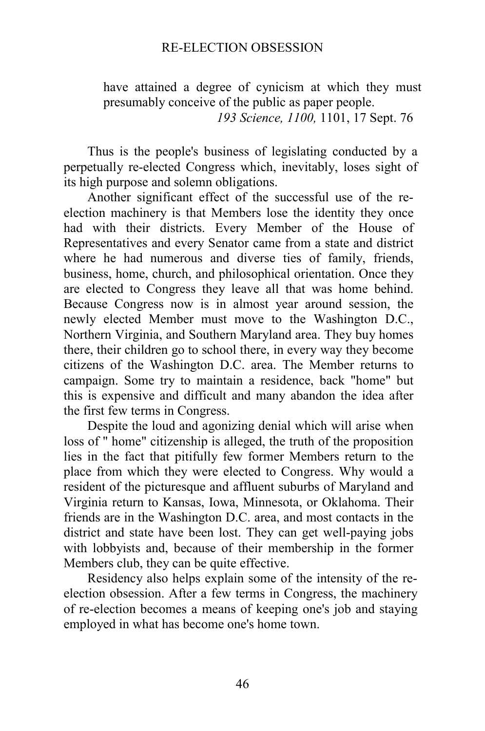#### RE-ELECTION OBSESSION

have attained a degree of cynicism at which they must presumably conceive of the public as paper people.

 *193 Science, 1100,* 1101, 17 Sept. 76

Thus is the people's business of legislating conducted by a perpetually re-elected Congress which, inevitably, loses sight of its high purpose and solemn obligations.

Another significant effect of the successful use of the reelection machinery is that Members lose the identity they once had with their districts. Every Member of the House of Representatives and every Senator came from a state and district where he had numerous and diverse ties of family, friends, business, home, church, and philosophical orientation. Once they are elected to Congress they leave all that was home behind. Because Congress now is in almost year around session, the newly elected Member must move to the Washington D.C., Northern Virginia, and Southern Maryland area. They buy homes there, their children go to school there, in every way they become citizens of the Washington D.C. area. The Member returns to campaign. Some try to maintain a residence, back "home" but this is expensive and difficult and many abandon the idea after the first few terms in Congress.

Despite the loud and agonizing denial which will arise when loss of " home" citizenship is alleged, the truth of the proposition lies in the fact that pitifully few former Members return to the place from which they were elected to Congress. Why would a resident of the picturesque and affluent suburbs of Maryland and Virginia return to Kansas, Iowa, Minnesota, or Oklahoma. Their friends are in the Washington D.C. area, and most contacts in the district and state have been lost. They can get well-paying jobs with lobbyists and, because of their membership in the former Members club, they can be quite effective.

Residency also helps explain some of the intensity of the reelection obsession. After a few terms in Congress, the machinery of re-election becomes a means of keeping one's job and staying employed in what has become one's home town.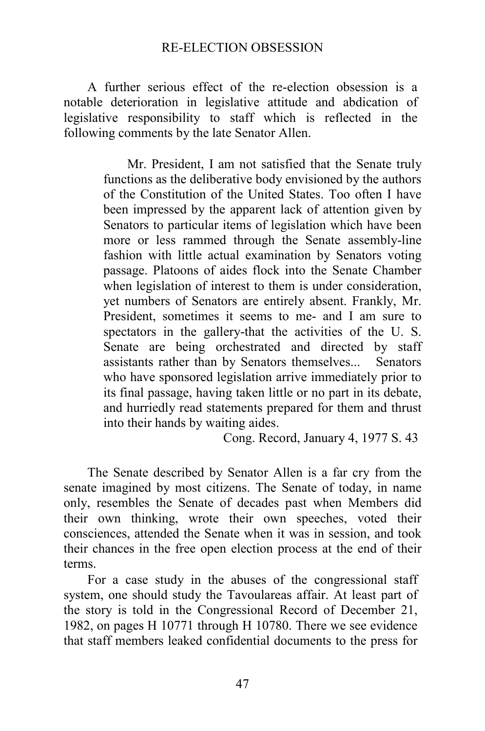#### RE-ELECTION OBSESSION

A further serious effect of the re-election obsession is a notable deterioration in legislative attitude and abdication of legislative responsibility to staff which is reflected in the following comments by the late Senator Allen.

> Mr. President, I am not satisfied that the Senate truly functions as the deliberative body envisioned by the authors of the Constitution of the United States. Too often I have been impressed by the apparent lack of attention given by Senators to particular items of legislation which have been more or less rammed through the Senate assembly-line fashion with little actual examination by Senators voting passage. Platoons of aides flock into the Senate Chamber when legislation of interest to them is under consideration. yet numbers of Senators are entirely absent. Frankly, Mr. President, sometimes it seems to me- and I am sure to spectators in the gallery-that the activities of the U. S. Senate are being orchestrated and directed by staff assistants rather than by Senators themselves... Senators who have sponsored legislation arrive immediately prior to its final passage, having taken little or no part in its debate, and hurriedly read statements prepared for them and thrust into their hands by waiting aides.

> > Cong. Record, January 4, 1977 S. 43

The Senate described by Senator Allen is a far cry from the senate imagined by most citizens. The Senate of today, in name only, resembles the Senate of decades past when Members did their own thinking, wrote their own speeches, voted their consciences, attended the Senate when it was in session, and took their chances in the free open election process at the end of their terms.

For a case study in the abuses of the congressional staff system, one should study the Tavoulareas affair. At least part of the story is told in the Congressional Record of December 21, 1982, on pages H 10771 through H 10780. There we see evidence that staff members leaked confidential documents to the press for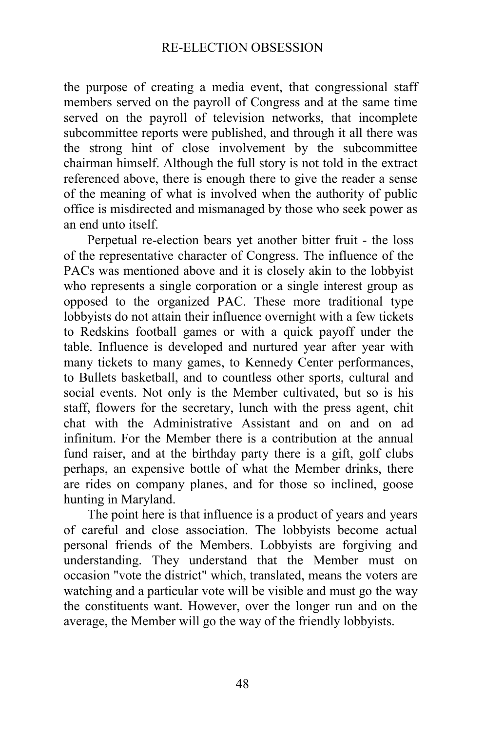the purpose of creating a media event, that congressional staff members served on the payroll of Congress and at the same time served on the payroll of television networks, that incomplete subcommittee reports were published, and through it all there was the strong hint of close involvement by the subcommittee chairman himself. Although the full story is not told in the extract referenced above, there is enough there to give the reader a sense of the meaning of what is involved when the authority of public office is misdirected and mismanaged by those who seek power as an end unto itself.

Perpetual re-election bears yet another bitter fruit - the loss of the representative character of Congress. The influence of the PACs was mentioned above and it is closely akin to the lobbyist who represents a single corporation or a single interest group as opposed to the organized PAC. These more traditional type lobbyists do not attain their influence overnight with a few tickets to Redskins football games or with a quick payoff under the table. Influence is developed and nurtured year after year with many tickets to many games, to Kennedy Center performances, to Bullets basketball, and to countless other sports, cultural and social events. Not only is the Member cultivated, but so is his staff, flowers for the secretary, lunch with the press agent, chit chat with the Administrative Assistant and on and on ad infinitum. For the Member there is a contribution at the annual fund raiser, and at the birthday party there is a gift, golf clubs perhaps, an expensive bottle of what the Member drinks, there are rides on company planes, and for those so inclined, goose hunting in Maryland.

The point here is that influence is a product of years and years of careful and close association. The lobbyists become actual personal friends of the Members. Lobbyists are forgiving and understanding. They understand that the Member must on occasion "vote the district" which, translated, means the voters are watching and a particular vote will be visible and must go the way the constituents want. However, over the longer run and on the average, the Member will go the way of the friendly lobbyists.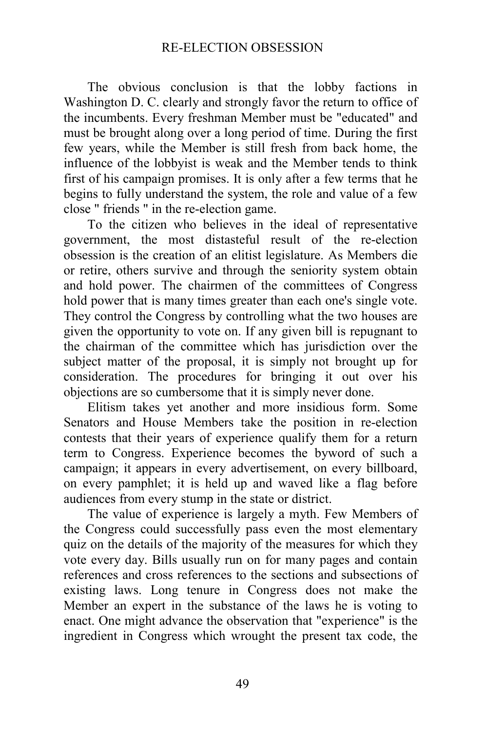The obvious conclusion is that the lobby factions in Washington D. C. clearly and strongly favor the return to office of the incumbents. Every freshman Member must be "educated" and must be brought along over a long period of time. During the first few years, while the Member is still fresh from back home, the influence of the lobbyist is weak and the Member tends to think first of his campaign promises. It is only after a few terms that he begins to fully understand the system, the role and value of a few close " friends " in the re-election game.

To the citizen who believes in the ideal of representative government, the most distasteful result of the re-election obsession is the creation of an elitist legislature. As Members die or retire, others survive and through the seniority system obtain and hold power. The chairmen of the committees of Congress hold power that is many times greater than each one's single vote. They control the Congress by controlling what the two houses are given the opportunity to vote on. If any given bill is repugnant to the chairman of the committee which has jurisdiction over the subject matter of the proposal, it is simply not brought up for consideration. The procedures for bringing it out over his objections are so cumbersome that it is simply never done.

Elitism takes yet another and more insidious form. Some Senators and House Members take the position in re-election contests that their years of experience qualify them for a return term to Congress. Experience becomes the byword of such a campaign; it appears in every advertisement, on every billboard, on every pamphlet; it is held up and waved like a flag before audiences from every stump in the state or district.

The value of experience is largely a myth. Few Members of the Congress could successfully pass even the most elementary quiz on the details of the majority of the measures for which they vote every day. Bills usually run on for many pages and contain references and cross references to the sections and subsections of existing laws. Long tenure in Congress does not make the Member an expert in the substance of the laws he is voting to enact. One might advance the observation that "experience" is the ingredient in Congress which wrought the present tax code, the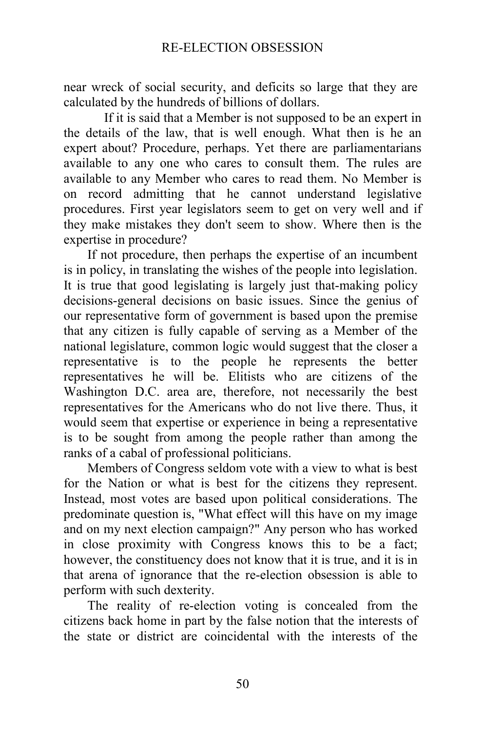near wreck of social security, and deficits so large that they are calculated by the hundreds of billions of dollars.

 If it is said that a Member is not supposed to be an expert in the details of the law, that is well enough. What then is he an expert about? Procedure, perhaps. Yet there are parliamentarians available to any one who cares to consult them. The rules are available to any Member who cares to read them. No Member is on record admitting that he cannot understand legislative procedures. First year legislators seem to get on very well and if they make mistakes they don't seem to show. Where then is the expertise in procedure?

If not procedure, then perhaps the expertise of an incumbent is in policy, in translating the wishes of the people into legislation. It is true that good legislating is largely just that-making policy decisions-general decisions on basic issues. Since the genius of our representative form of government is based upon the premise that any citizen is fully capable of serving as a Member of the national legislature, common logic would suggest that the closer a representative is to the people he represents the better representatives he will be. Elitists who are citizens of the Washington D.C. area are, therefore, not necessarily the best representatives for the Americans who do not live there. Thus, it would seem that expertise or experience in being a representative is to be sought from among the people rather than among the ranks of a cabal of professional politicians.

Members of Congress seldom vote with a view to what is best for the Nation or what is best for the citizens they represent. Instead, most votes are based upon political considerations. The predominate question is, "What effect will this have on my image and on my next election campaign?" Any person who has worked in close proximity with Congress knows this to be a fact; however, the constituency does not know that it is true, and it is in that arena of ignorance that the re-election obsession is able to perform with such dexterity.

The reality of re-election voting is concealed from the citizens back home in part by the false notion that the interests of the state or district are coincidental with the interests of the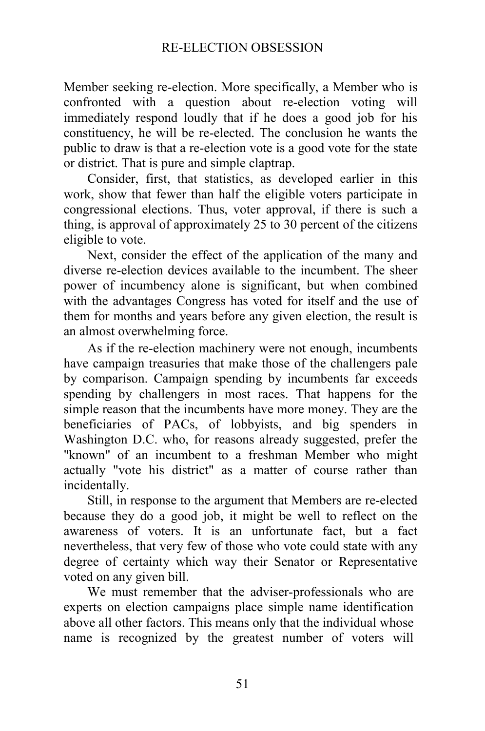Member seeking re-election. More specifically, a Member who is confronted with a question about re-election voting will immediately respond loudly that if he does a good job for his constituency, he will be re-elected. The conclusion he wants the public to draw is that a re-election vote is a good vote for the state or district. That is pure and simple claptrap.

Consider, first, that statistics, as developed earlier in this work, show that fewer than half the eligible voters participate in congressional elections. Thus, voter approval, if there is such a thing, is approval of approximately 25 to 30 percent of the citizens eligible to vote.

Next, consider the effect of the application of the many and diverse re-election devices available to the incumbent. The sheer power of incumbency alone is significant, but when combined with the advantages Congress has voted for itself and the use of them for months and years before any given election, the result is an almost overwhelming force.

As if the re-election machinery were not enough, incumbents have campaign treasuries that make those of the challengers pale by comparison. Campaign spending by incumbents far exceeds spending by challengers in most races. That happens for the simple reason that the incumbents have more money. They are the beneficiaries of PACs, of lobbyists, and big spenders in Washington D.C. who, for reasons already suggested, prefer the "known" of an incumbent to a freshman Member who might actually "vote his district" as a matter of course rather than incidentally.

Still, in response to the argument that Members are re-elected because they do a good job, it might be well to reflect on the awareness of voters. It is an unfortunate fact, but a fact nevertheless, that very few of those who vote could state with any degree of certainty which way their Senator or Representative voted on any given bill.

We must remember that the adviser-professionals who are experts on election campaigns place simple name identification above all other factors. This means only that the individual whose name is recognized by the greatest number of voters will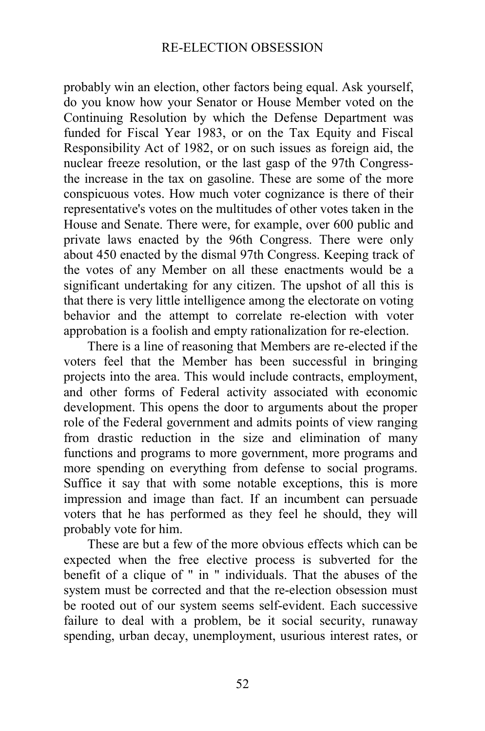## RE-ELECTION OBSESSION

probably win an election, other factors being equal. Ask yourself, do you know how your Senator or House Member voted on the Continuing Resolution by which the Defense Department was funded for Fiscal Year 1983, or on the Tax Equity and Fiscal Responsibility Act of 1982, or on such issues as foreign aid, the nuclear freeze resolution, or the last gasp of the 97th Congressthe increase in the tax on gasoline. These are some of the more conspicuous votes. How much voter cognizance is there of their representative's votes on the multitudes of other votes taken in the House and Senate. There were, for example, over 600 public and private laws enacted by the 96th Congress. There were only about 450 enacted by the dismal 97th Congress. Keeping track of the votes of any Member on all these enactments would be a significant undertaking for any citizen. The upshot of all this is that there is very little intelligence among the electorate on voting behavior and the attempt to correlate re-election with voter approbation is a foolish and empty rationalization for re-election.

There is a line of reasoning that Members are re-elected if the voters feel that the Member has been successful in bringing projects into the area. This would include contracts, employment, and other forms of Federal activity associated with economic development. This opens the door to arguments about the proper role of the Federal government and admits points of view ranging from drastic reduction in the size and elimination of many functions and programs to more government, more programs and more spending on everything from defense to social programs. Suffice it say that with some notable exceptions, this is more impression and image than fact. If an incumbent can persuade voters that he has performed as they feel he should, they will probably vote for him.

These are but a few of the more obvious effects which can be expected when the free elective process is subverted for the benefit of a clique of " in " individuals. That the abuses of the system must be corrected and that the re-election obsession must be rooted out of our system seems self-evident. Each successive failure to deal with a problem, be it social security, runaway spending, urban decay, unemployment, usurious interest rates, or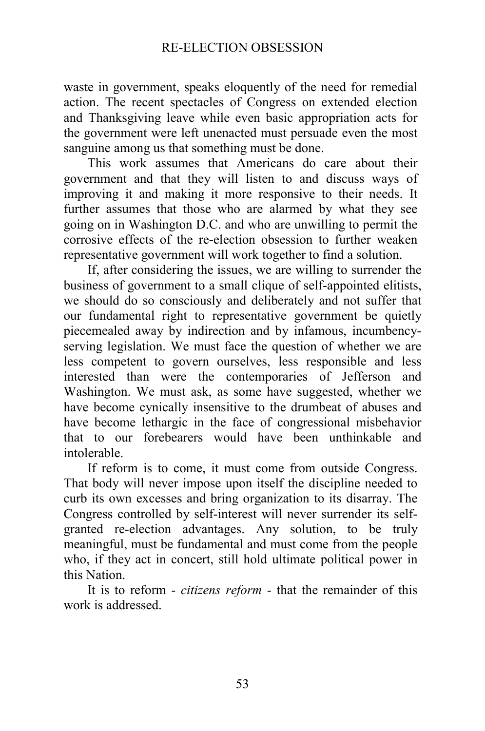waste in government, speaks eloquently of the need for remedial action. The recent spectacles of Congress on extended election and Thanksgiving leave while even basic appropriation acts for the government were left unenacted must persuade even the most sanguine among us that something must be done.

This work assumes that Americans do care about their government and that they will listen to and discuss ways of improving it and making it more responsive to their needs. It further assumes that those who are alarmed by what they see going on in Washington D.C. and who are unwilling to permit the corrosive effects of the re-election obsession to further weaken representative government will work together to find a solution.

If, after considering the issues, we are willing to surrender the business of government to a small clique of self-appointed elitists, we should do so consciously and deliberately and not suffer that our fundamental right to representative government be quietly piecemealed away by indirection and by infamous, incumbencyserving legislation. We must face the question of whether we are less competent to govern ourselves, less responsible and less interested than were the contemporaries of Jefferson and Washington. We must ask, as some have suggested, whether we have become cynically insensitive to the drumbeat of abuses and have become lethargic in the face of congressional misbehavior that to our forebearers would have been unthinkable and intolerable.

If reform is to come, it must come from outside Congress. That body will never impose upon itself the discipline needed to curb its own excesses and bring organization to its disarray. The Congress controlled by self-interest will never surrender its selfgranted re-election advantages. Any solution, to be truly meaningful, must be fundamental and must come from the people who, if they act in concert, still hold ultimate political power in this Nation.

It is to reform *- citizens reform -* that the remainder of this work is addressed.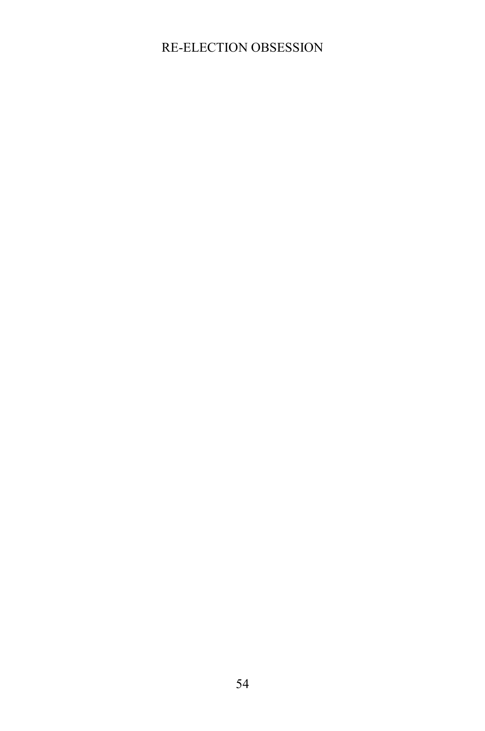# RE-ELECTION OBSESSION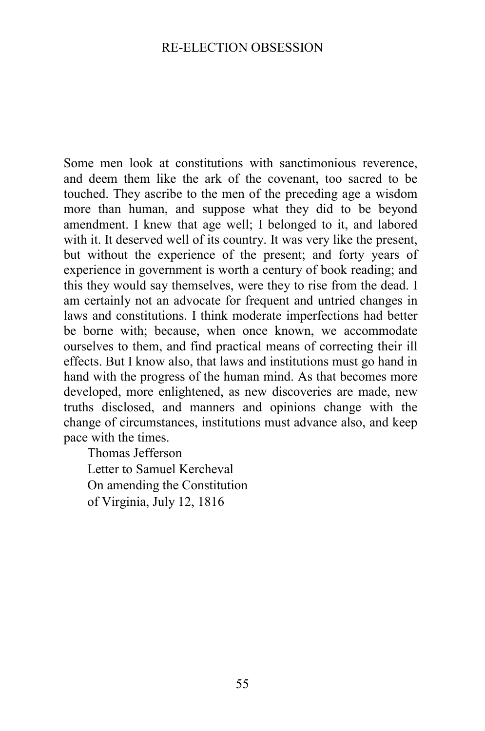Some men look at constitutions with sanctimonious reverence, and deem them like the ark of the covenant, too sacred to be touched. They ascribe to the men of the preceding age a wisdom more than human, and suppose what they did to be beyond amendment. I knew that age well; I belonged to it, and labored with it. It deserved well of its country. It was very like the present, but without the experience of the present; and forty years of experience in government is worth a century of book reading; and this they would say themselves, were they to rise from the dead. I am certainly not an advocate for frequent and untried changes in laws and constitutions. I think moderate imperfections had better be borne with; because, when once known, we accommodate ourselves to them, and find practical means of correcting their ill effects. But I know also, that laws and institutions must go hand in hand with the progress of the human mind. As that becomes more developed, more enlightened, as new discoveries are made, new truths disclosed, and manners and opinions change with the change of circumstances, institutions must advance also, and keep pace with the times.

Thomas Jefferson Letter to Samuel Kercheval On amending the Constitution of Virginia, July 12, 1816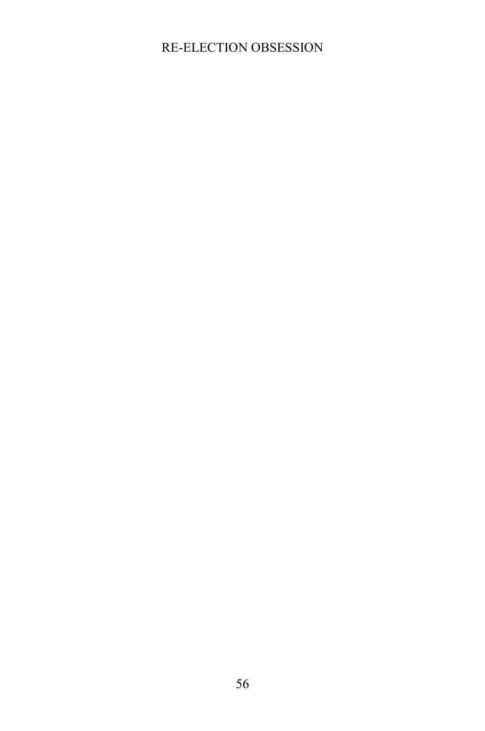# RE-ELECTION OBSESSION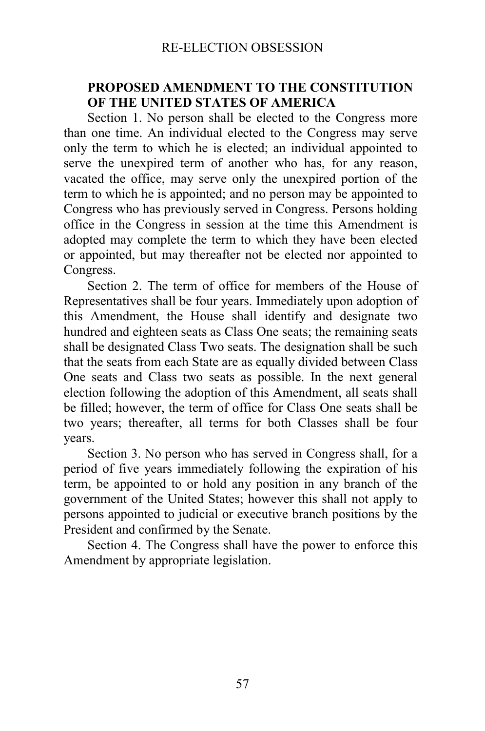### **PROPOSED AMENDMENT TO THE CONSTITUTION OF THE UNITED STATES OF AMERICA**

Section 1. No person shall be elected to the Congress more than one time. An individual elected to the Congress may serve only the term to which he is elected; an individual appointed to serve the unexpired term of another who has, for any reason, vacated the office, may serve only the unexpired portion of the term to which he is appointed; and no person may be appointed to Congress who has previously served in Congress. Persons holding office in the Congress in session at the time this Amendment is adopted may complete the term to which they have been elected or appointed, but may thereafter not be elected nor appointed to Congress.

Section 2. The term of office for members of the House of Representatives shall be four years. Immediately upon adoption of this Amendment, the House shall identify and designate two hundred and eighteen seats as Class One seats; the remaining seats shall be designated Class Two seats. The designation shall be such that the seats from each State are as equally divided between Class One seats and Class two seats as possible. In the next general election following the adoption of this Amendment, all seats shall be filled; however, the term of office for Class One seats shall be two years; thereafter, all terms for both Classes shall be four years.

Section 3. No person who has served in Congress shall, for a period of five years immediately following the expiration of his term, be appointed to or hold any position in any branch of the government of the United States; however this shall not apply to persons appointed to judicial or executive branch positions by the President and confirmed by the Senate.

Section 4. The Congress shall have the power to enforce this Amendment by appropriate legislation.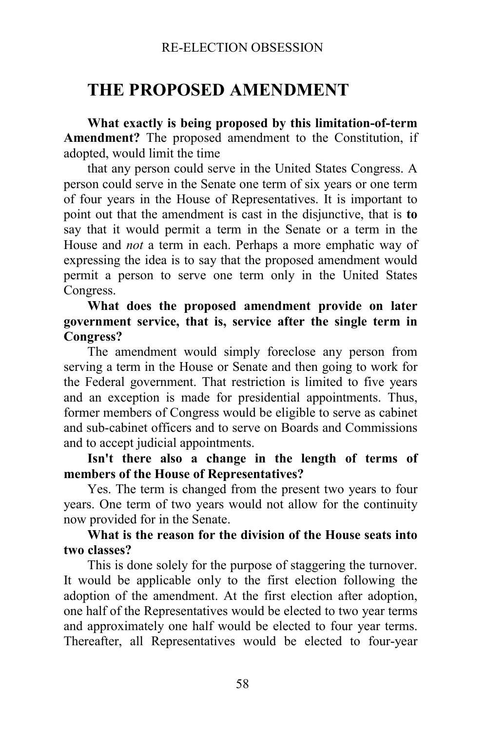# **THE PROPOSED AMENDMENT**

**What exactly is being proposed by this limitation-of-term Amendment?** The proposed amendment to the Constitution, if adopted, would limit the time

that any person could serve in the United States Congress. A person could serve in the Senate one term of six years or one term of four years in the House of Representatives. It is important to point out that the amendment is cast in the disjunctive, that is **to** say that it would permit a term in the Senate or a term in the House and *not* a term in each. Perhaps a more emphatic way of expressing the idea is to say that the proposed amendment would permit a person to serve one term only in the United States Congress.

**What does the proposed amendment provide on later government service, that is, service after the single term in Congress?**

The amendment would simply foreclose any person from serving a term in the House or Senate and then going to work for the Federal government. That restriction is limited to five years and an exception is made for presidential appointments. Thus, former members of Congress would be eligible to serve as cabinet and sub-cabinet officers and to serve on Boards and Commissions and to accept judicial appointments.

**Isn't there also a change in the length of terms of members of the House of Representatives?**

Yes. The term is changed from the present two years to four years. One term of two years would not allow for the continuity now provided for in the Senate.

## **What is the reason for the division of the House seats into two classes?**

This is done solely for the purpose of staggering the turnover. It would be applicable only to the first election following the adoption of the amendment. At the first election after adoption, one half of the Representatives would be elected to two year terms and approximately one half would be elected to four year terms. Thereafter, all Representatives would be elected to four-year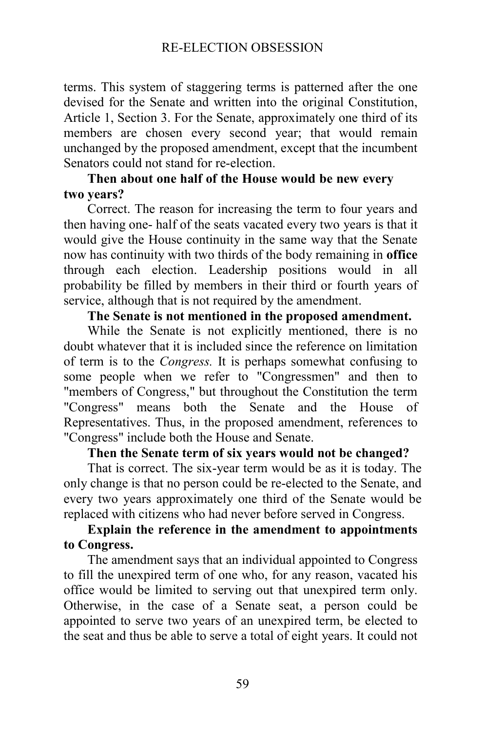terms. This system of staggering terms is patterned after the one devised for the Senate and written into the original Constitution, Article 1, Section 3. For the Senate, approximately one third of its members are chosen every second year; that would remain unchanged by the proposed amendment, except that the incumbent Senators could not stand for re-election.

## **Then about one half of the House would be new every two years?**

Correct. The reason for increasing the term to four years and then having one- half of the seats vacated every two years is that it would give the House continuity in the same way that the Senate now has continuity with two thirds of the body remaining in **office** through each election. Leadership positions would in all probability be filled by members in their third or fourth years of service, although that is not required by the amendment.

## **The Senate is not mentioned in the proposed amendment.**

While the Senate is not explicitly mentioned, there is no doubt whatever that it is included since the reference on limitation of term is to the *Congress.* It is perhaps somewhat confusing to some people when we refer to "Congressmen" and then to "members of Congress," but throughout the Constitution the term "Congress" means both the Senate and the House of Representatives. Thus, in the proposed amendment, references to "Congress" include both the House and Senate.

## **Then the Senate term of six years would not be changed?**

That is correct. The six-year term would be as it is today. The only change is that no person could be re-elected to the Senate, and every two years approximately one third of the Senate would be replaced with citizens who had never before served in Congress.

## **Explain the reference in the amendment to appointments to Congress.**

The amendment says that an individual appointed to Congress to fill the unexpired term of one who, for any reason, vacated his office would be limited to serving out that unexpired term only. Otherwise, in the case of a Senate seat, a person could be appointed to serve two years of an unexpired term, be elected to the seat and thus be able to serve a total of eight years. It could not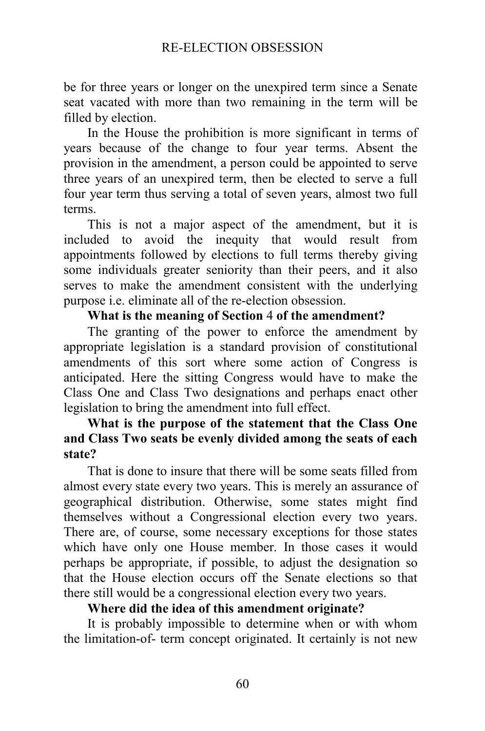be for three years or longer on the unexpired term since a Senate seat vacated with more than two remaining in the term will be filled by election.

In the House the prohibition is more significant in terms of years because of the change to four year terms. Absent the provision in the amendment, a person could be appointed to serve three years of an unexpired term, then be elected to serve a full four year term thus serving a total of seven years, almost two full terms.

This is not a major aspect of the amendment, but it is included to avoid the inequity that would result from appointments followed by elections to full terms thereby giving some individuals greater seniority than their peers, and it also serves to make the amendment consistent with the underlying purpose i.e. eliminate all of the re-election obsession.

## **What is the meaning of Section** 4 **of the amendment?**

The granting of the power to enforce the amendment by appropriate legislation is a standard provision of constitutional amendments of this sort where some action of Congress is anticipated. Here the sitting Congress would have to make the Class One and Class Two designations and perhaps enact other legislation to bring the amendment into full effect.

### **What is the purpose of the statement that the Class One and Class Two seats be evenly divided among the seats of each state?**

That is done to insure that there will be some seats filled from almost every state every two years. This is merely an assurance of geographical distribution. Otherwise, some states might find themselves without a Congressional election every two years. There are, of course, some necessary exceptions for those states which have only one House member. In those cases it would perhaps be appropriate, if possible, to adjust the designation so that the House election occurs off the Senate elections so that there still would be a congressional election every two years.

#### **Where did the idea of this amendment originate?**

It is probably impossible to determine when or with whom the limitation-of- term concept originated. It certainly is not new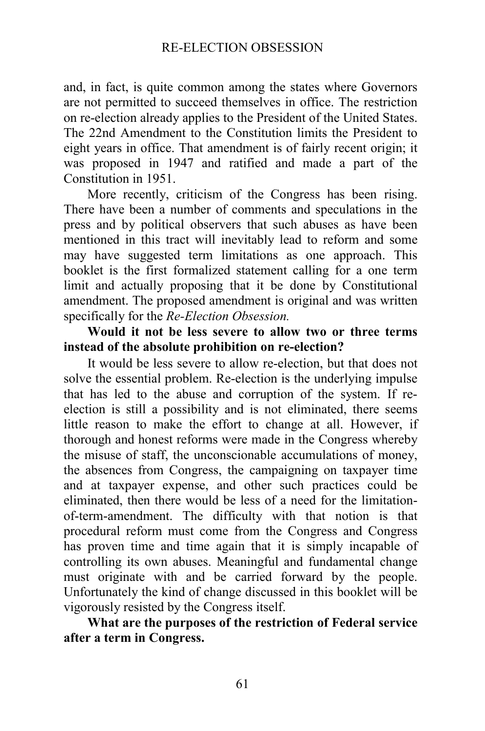and, in fact, is quite common among the states where Governors are not permitted to succeed themselves in office. The restriction on re-election already applies to the President of the United States. The 22nd Amendment to the Constitution limits the President to eight years in office. That amendment is of fairly recent origin; it was proposed in 1947 and ratified and made a part of the Constitution in 1951.

More recently, criticism of the Congress has been rising. There have been a number of comments and speculations in the press and by political observers that such abuses as have been mentioned in this tract will inevitably lead to reform and some may have suggested term limitations as one approach. This booklet is the first formalized statement calling for a one term limit and actually proposing that it be done by Constitutional amendment. The proposed amendment is original and was written specifically for the *Re-Election Obsession.*

#### **Would it not be less severe to allow two or three terms instead of the absolute prohibition on re-election?**

It would be less severe to allow re-election, but that does not solve the essential problem. Re-election is the underlying impulse that has led to the abuse and corruption of the system. If reelection is still a possibility and is not eliminated, there seems little reason to make the effort to change at all. However, if thorough and honest reforms were made in the Congress whereby the misuse of staff, the unconscionable accumulations of money, the absences from Congress, the campaigning on taxpayer time and at taxpayer expense, and other such practices could be eliminated, then there would be less of a need for the limitationof-term-amendment. The difficulty with that notion is that procedural reform must come from the Congress and Congress has proven time and time again that it is simply incapable of controlling its own abuses. Meaningful and fundamental change must originate with and be carried forward by the people. Unfortunately the kind of change discussed in this booklet will be vigorously resisted by the Congress itself.

**What are the purposes of the restriction of Federal service after a term in Congress.**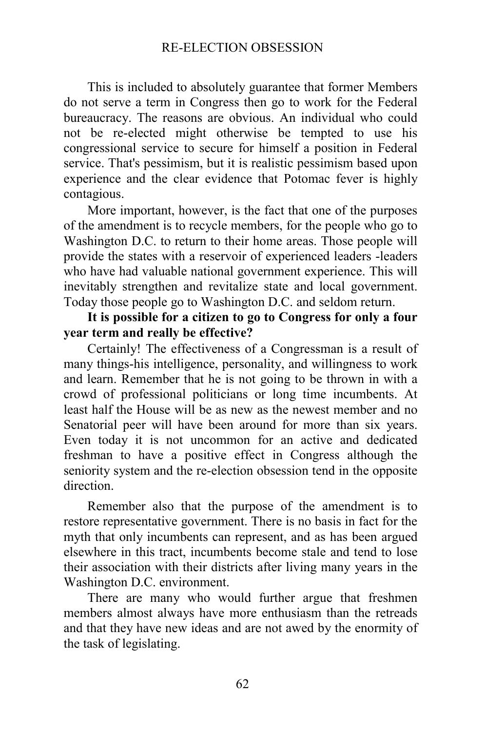This is included to absolutely guarantee that former Members do not serve a term in Congress then go to work for the Federal bureaucracy. The reasons are obvious. An individual who could not be re-elected might otherwise be tempted to use his congressional service to secure for himself a position in Federal service. That's pessimism, but it is realistic pessimism based upon experience and the clear evidence that Potomac fever is highly contagious.

More important, however, is the fact that one of the purposes of the amendment is to recycle members, for the people who go to Washington D.C. to return to their home areas. Those people will provide the states with a reservoir of experienced leaders -leaders who have had valuable national government experience. This will inevitably strengthen and revitalize state and local government. Today those people go to Washington D.C. and seldom return.

**It is possible for a citizen to go to Congress for only a four year term and really be effective?**

Certainly! The effectiveness of a Congressman is a result of many things-his intelligence, personality, and willingness to work and learn. Remember that he is not going to be thrown in with a crowd of professional politicians or long time incumbents. At least half the House will be as new as the newest member and no Senatorial peer will have been around for more than six years. Even today it is not uncommon for an active and dedicated freshman to have a positive effect in Congress although the seniority system and the re-election obsession tend in the opposite direction.

Remember also that the purpose of the amendment is to restore representative government. There is no basis in fact for the myth that only incumbents can represent, and as has been argued elsewhere in this tract, incumbents become stale and tend to lose their association with their districts after living many years in the Washington D.C. environment.

There are many who would further argue that freshmen members almost always have more enthusiasm than the retreads and that they have new ideas and are not awed by the enormity of the task of legislating.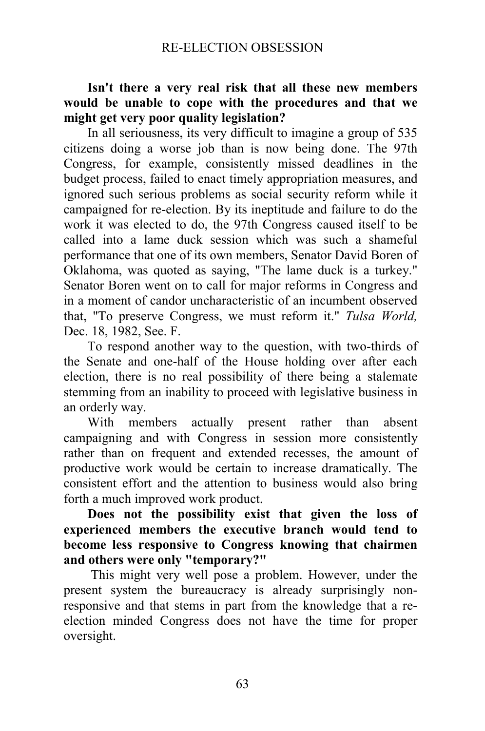**Isn't there a very real risk that all these new members would be unable to cope with the procedures and that we might get very poor quality legislation?**

In all seriousness, its very difficult to imagine a group of 535 citizens doing a worse job than is now being done. The 97th Congress, for example, consistently missed deadlines in the budget process, failed to enact timely appropriation measures, and ignored such serious problems as social security reform while it campaigned for re-election. By its ineptitude and failure to do the work it was elected to do, the 97th Congress caused itself to be called into a lame duck session which was such a shameful performance that one of its own members, Senator David Boren of Oklahoma, was quoted as saying, "The lame duck is a turkey." Senator Boren went on to call for major reforms in Congress and in a moment of candor uncharacteristic of an incumbent observed that, "To preserve Congress, we must reform it." *Tulsa World,* Dec. 18, 1982, See. F.

To respond another way to the question, with two-thirds of the Senate and one-half of the House holding over after each election, there is no real possibility of there being a stalemate stemming from an inability to proceed with legislative business in an orderly way.

With members actually present rather than absent campaigning and with Congress in session more consistently rather than on frequent and extended recesses, the amount of productive work would be certain to increase dramatically. The consistent effort and the attention to business would also bring forth a much improved work product.

**Does not the possibility exist that given the loss of experienced members the executive branch would tend to become less responsive to Congress knowing that chairmen and others were only "temporary?"**

 This might very well pose a problem. However, under the present system the bureaucracy is already surprisingly nonresponsive and that stems in part from the knowledge that a reelection minded Congress does not have the time for proper oversight.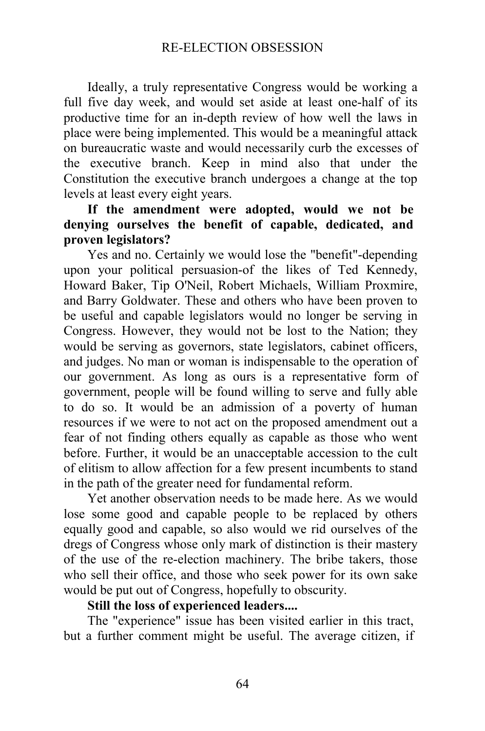Ideally, a truly representative Congress would be working a full five day week, and would set aside at least one-half of its productive time for an in-depth review of how well the laws in place were being implemented. This would be a meaningful attack on bureaucratic waste and would necessarily curb the excesses of the executive branch. Keep in mind also that under the Constitution the executive branch undergoes a change at the top levels at least every eight years.

## **If the amendment were adopted, would we not be denying ourselves the benefit of capable, dedicated, and proven legislators?**

Yes and no. Certainly we would lose the "benefit"-depending upon your political persuasion-of the likes of Ted Kennedy, Howard Baker, Tip O'Neil, Robert Michaels, William Proxmire, and Barry Goldwater. These and others who have been proven to be useful and capable legislators would no longer be serving in Congress. However, they would not be lost to the Nation; they would be serving as governors, state legislators, cabinet officers, and judges. No man or woman is indispensable to the operation of our government. As long as ours is a representative form of government, people will be found willing to serve and fully able to do so. It would be an admission of a poverty of human resources if we were to not act on the proposed amendment out a fear of not finding others equally as capable as those who went before. Further, it would be an unacceptable accession to the cult of elitism to allow affection for a few present incumbents to stand in the path of the greater need for fundamental reform.

Yet another observation needs to be made here. As we would lose some good and capable people to be replaced by others equally good and capable, so also would we rid ourselves of the dregs of Congress whose only mark of distinction is their mastery of the use of the re-election machinery. The bribe takers, those who sell their office, and those who seek power for its own sake would be put out of Congress, hopefully to obscurity.

## **Still the loss of experienced leaders....**

The "experience" issue has been visited earlier in this tract, but a further comment might be useful. The average citizen, if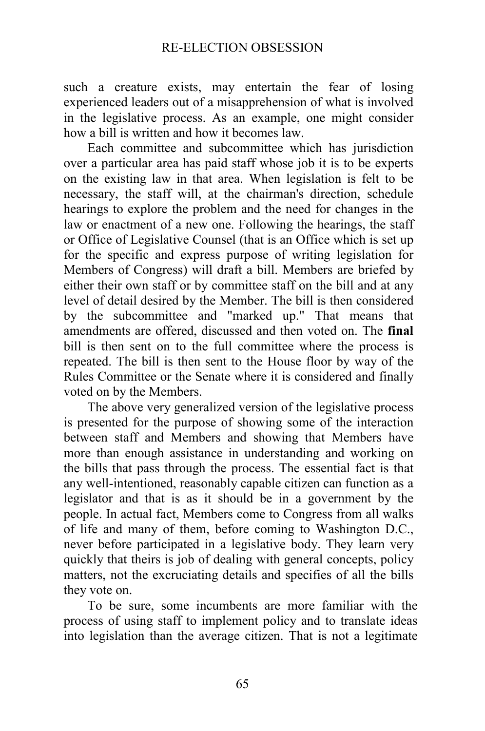such a creature exists, may entertain the fear of losing experienced leaders out of a misapprehension of what is involved in the legislative process. As an example, one might consider how a bill is written and how it becomes law.

Each committee and subcommittee which has jurisdiction over a particular area has paid staff whose job it is to be experts on the existing law in that area. When legislation is felt to be necessary, the staff will, at the chairman's direction, schedule hearings to explore the problem and the need for changes in the law or enactment of a new one. Following the hearings, the staff or Office of Legislative Counsel (that is an Office which is set up for the specific and express purpose of writing legislation for Members of Congress) will draft a bill. Members are briefed by either their own staff or by committee staff on the bill and at any level of detail desired by the Member. The bill is then considered by the subcommittee and "marked up." That means that amendments are offered, discussed and then voted on. The **final** bill is then sent on to the full committee where the process is repeated. The bill is then sent to the House floor by way of the Rules Committee or the Senate where it is considered and finally voted on by the Members.

The above very generalized version of the legislative process is presented for the purpose of showing some of the interaction between staff and Members and showing that Members have more than enough assistance in understanding and working on the bills that pass through the process. The essential fact is that any well-intentioned, reasonably capable citizen can function as a legislator and that is as it should be in a government by the people. In actual fact, Members come to Congress from all walks of life and many of them, before coming to Washington D.C., never before participated in a legislative body. They learn very quickly that theirs is job of dealing with general concepts, policy matters, not the excruciating details and specifies of all the bills they vote on.

To be sure, some incumbents are more familiar with the process of using staff to implement policy and to translate ideas into legislation than the average citizen. That is not a legitimate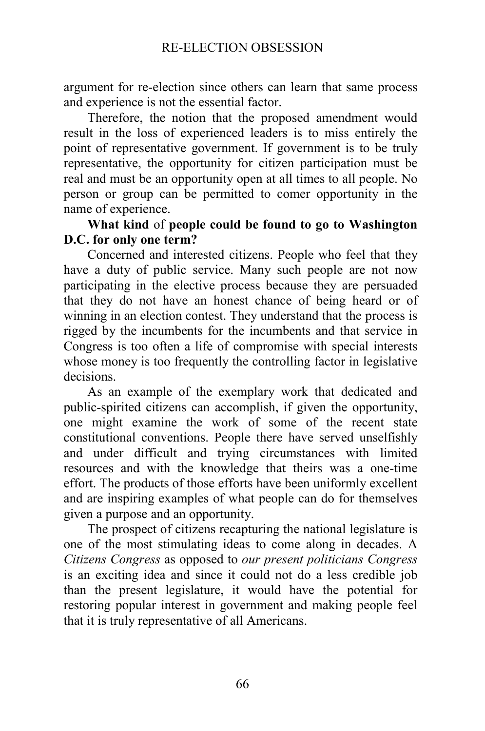argument for re-election since others can learn that same process and experience is not the essential factor.

Therefore, the notion that the proposed amendment would result in the loss of experienced leaders is to miss entirely the point of representative government. If government is to be truly representative, the opportunity for citizen participation must be real and must be an opportunity open at all times to all people. No person or group can be permitted to comer opportunity in the name of experience.

**What kind** of **people could be found to go to Washington D.C. for only one term?**

Concerned and interested citizens. People who feel that they have a duty of public service. Many such people are not now participating in the elective process because they are persuaded that they do not have an honest chance of being heard or of winning in an election contest. They understand that the process is rigged by the incumbents for the incumbents and that service in Congress is too often a life of compromise with special interests whose money is too frequently the controlling factor in legislative decisions.

As an example of the exemplary work that dedicated and public-spirited citizens can accomplish, if given the opportunity, one might examine the work of some of the recent state constitutional conventions. People there have served unselfishly and under difficult and trying circumstances with limited resources and with the knowledge that theirs was a one-time effort. The products of those efforts have been uniformly excellent and are inspiring examples of what people can do for themselves given a purpose and an opportunity.

The prospect of citizens recapturing the national legislature is one of the most stimulating ideas to come along in decades. A *Citizens Congress* as opposed to *our present politicians Congress* is an exciting idea and since it could not do a less credible job than the present legislature, it would have the potential for restoring popular interest in government and making people feel that it is truly representative of all Americans.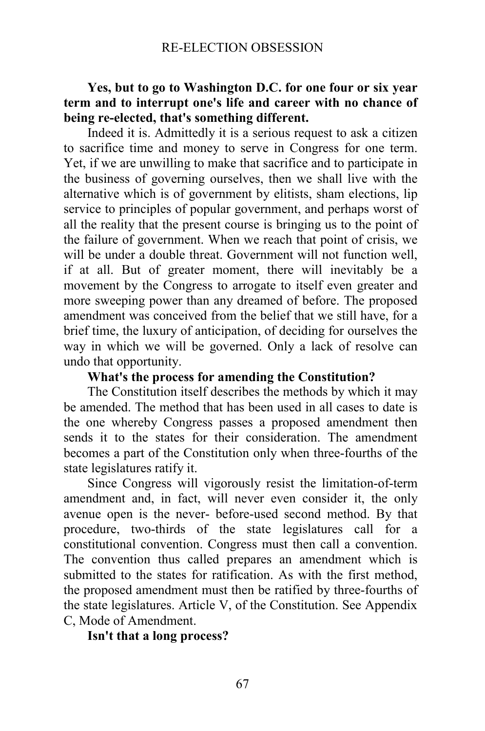## **Yes, but to go to Washington D.C. for one four or six year term and to interrupt one's life and career with no chance of being re-elected, that's something different.**

Indeed it is. Admittedly it is a serious request to ask a citizen to sacrifice time and money to serve in Congress for one term. Yet, if we are unwilling to make that sacrifice and to participate in the business of governing ourselves, then we shall live with the alternative which is of government by elitists, sham elections, lip service to principles of popular government, and perhaps worst of all the reality that the present course is bringing us to the point of the failure of government. When we reach that point of crisis, we will be under a double threat. Government will not function well, if at all. But of greater moment, there will inevitably be a movement by the Congress to arrogate to itself even greater and more sweeping power than any dreamed of before. The proposed amendment was conceived from the belief that we still have, for a brief time, the luxury of anticipation, of deciding for ourselves the way in which we will be governed. Only a lack of resolve can undo that opportunity.

## **What's the process for amending the Constitution?**

The Constitution itself describes the methods by which it may be amended. The method that has been used in all cases to date is the one whereby Congress passes a proposed amendment then sends it to the states for their consideration. The amendment becomes a part of the Constitution only when three-fourths of the state legislatures ratify it.

Since Congress will vigorously resist the limitation-of-term amendment and, in fact, will never even consider it, the only avenue open is the never- before-used second method. By that procedure, two-thirds of the state legislatures call for a constitutional convention. Congress must then call a convention. The convention thus called prepares an amendment which is submitted to the states for ratification. As with the first method, the proposed amendment must then be ratified by three-fourths of the state legislatures. Article V, of the Constitution. See Appendix C, Mode of Amendment.

## **Isn't that a long process?**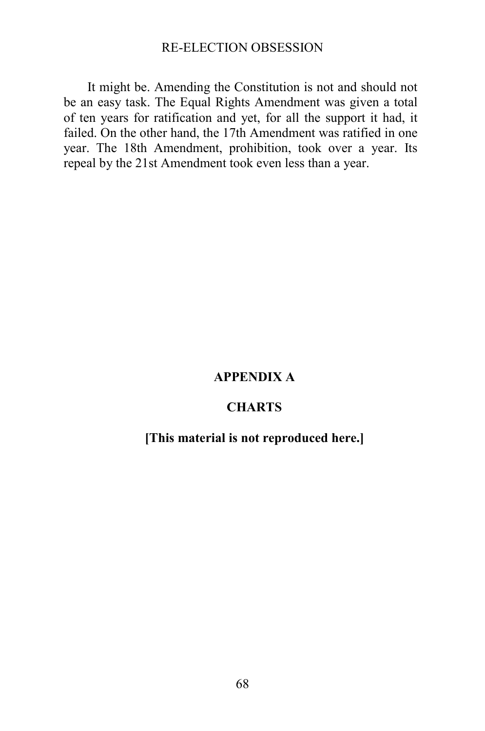#### RE-ELECTION OBSESSION

It might be. Amending the Constitution is not and should not be an easy task. The Equal Rights Amendment was given a total of ten years for ratification and yet, for all the support it had, it failed. On the other hand, the 17th Amendment was ratified in one year. The 18th Amendment, prohibition, took over a year. Its repeal by the 21st Amendment took even less than a year.

#### **APPENDIX A**

### **CHARTS**

### **[This material is not reproduced here.]**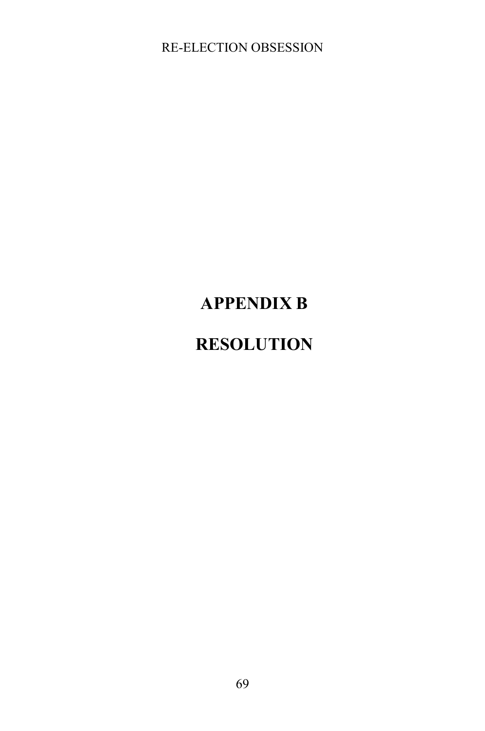# **APPENDIX B**

# **RESOLUTION**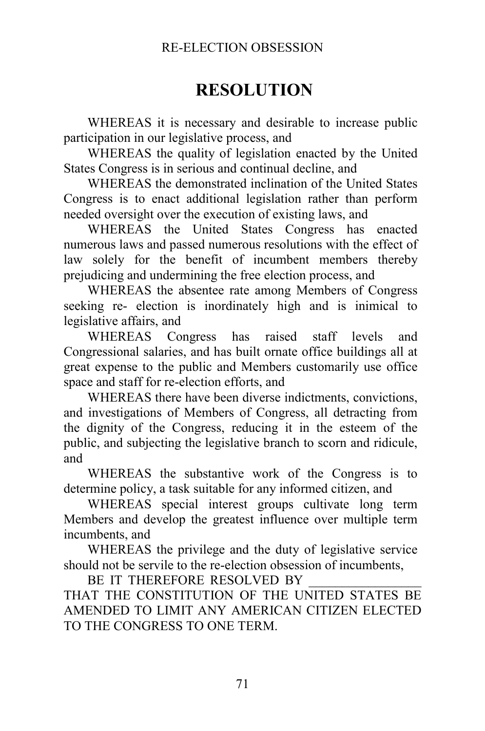# **RESOLUTION**

WHEREAS it is necessary and desirable to increase public participation in our legislative process, and

WHEREAS the quality of legislation enacted by the United States Congress is in serious and continual decline, and

WHEREAS the demonstrated inclination of the United States Congress is to enact additional legislation rather than perform needed oversight over the execution of existing laws, and

WHEREAS the United States Congress has enacted numerous laws and passed numerous resolutions with the effect of law solely for the benefit of incumbent members thereby prejudicing and undermining the free election process, and

WHEREAS the absentee rate among Members of Congress seeking re- election is inordinately high and is inimical to legislative affairs, and

WHEREAS Congress has raised staff levels and Congressional salaries, and has built ornate office buildings all at great expense to the public and Members customarily use office space and staff for re-election efforts, and

WHEREAS there have been diverse indictments, convictions, and investigations of Members of Congress, all detracting from the dignity of the Congress, reducing it in the esteem of the public, and subjecting the legislative branch to scorn and ridicule, and

WHEREAS the substantive work of the Congress is to determine policy, a task suitable for any informed citizen, and

WHEREAS special interest groups cultivate long term Members and develop the greatest influence over multiple term incumbents, and

WHEREAS the privilege and the duty of legislative service should not be servile to the re-election obsession of incumbents,

BE IT THEREFORE RESOLVED BY THAT THE CONSTITUTION OF THE UNITED STATES BE AMENDED TO LIMIT ANY AMERICAN CITIZEN ELECTED TO THE CONGRESS TO ONE TERM.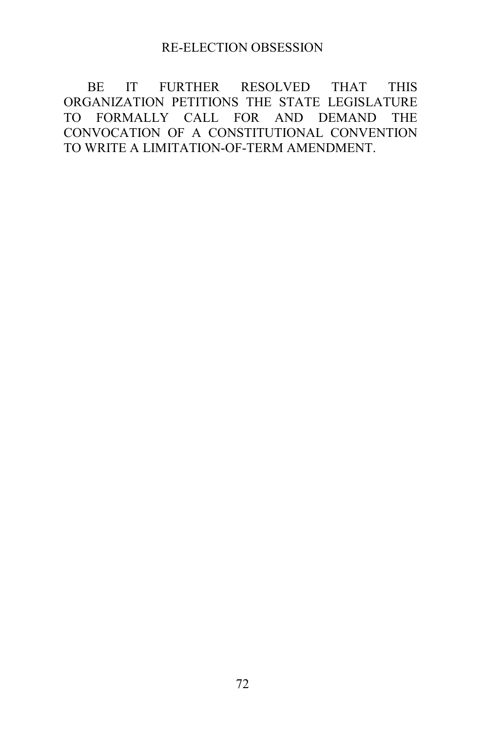BE IT FURTHER RESOLVED THAT THIS ORGANIZATION PETITIONS THE STATE LEGISLATURE TO FORMALLY CALL FOR AND DEMAND THE CONVOCATION OF A CONSTITUTIONAL CONVENTION TO WRITE A LIMITATION-OF-TERM AMENDMENT.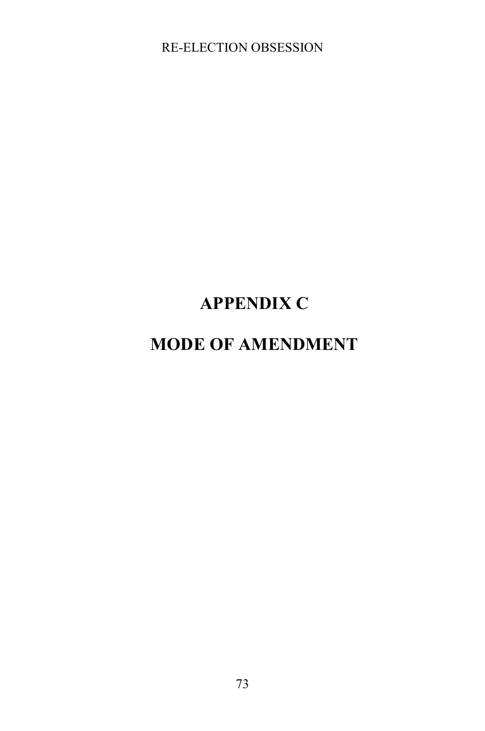# **APPENDIX C**

# **MODE OF AMENDMENT**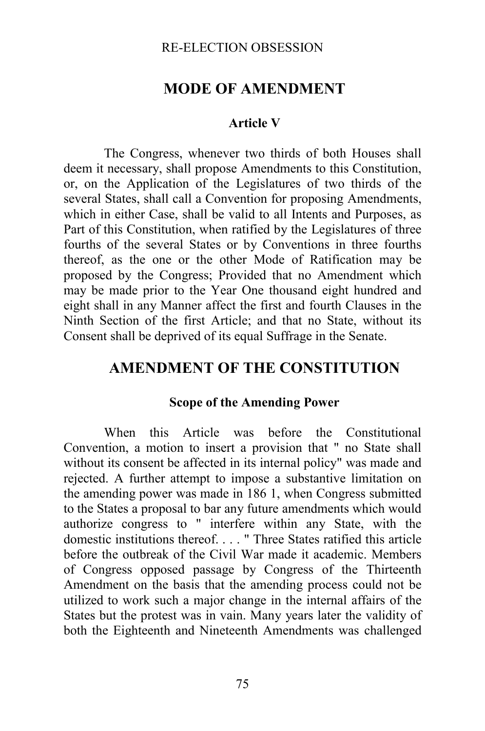## **MODE OF AMENDMENT**

#### **Article V**

 The Congress, whenever two thirds of both Houses shall deem it necessary, shall propose Amendments to this Constitution, or, on the Application of the Legislatures of two thirds of the several States, shall call a Convention for proposing Amendments, which in either Case, shall be valid to all Intents and Purposes, as Part of this Constitution, when ratified by the Legislatures of three fourths of the several States or by Conventions in three fourths thereof, as the one or the other Mode of Ratification may be proposed by the Congress; Provided that no Amendment which may be made prior to the Year One thousand eight hundred and eight shall in any Manner affect the first and fourth Clauses in the Ninth Section of the first Article; and that no State, without its Consent shall be deprived of its equal Suffrage in the Senate.

## **AMENDMENT OF THE CONSTITUTION**

#### **Scope of the Amending Power**

 When this Article was before the Constitutional Convention, a motion to insert a provision that " no State shall without its consent be affected in its internal policy" was made and rejected. A further attempt to impose a substantive limitation on the amending power was made in 186 1, when Congress submitted to the States a proposal to bar any future amendments which would authorize congress to " interfere within any State, with the domestic institutions thereof. . . . " Three States ratified this article before the outbreak of the Civil War made it academic. Members of Congress opposed passage by Congress of the Thirteenth Amendment on the basis that the amending process could not be utilized to work such a major change in the internal affairs of the States but the protest was in vain. Many years later the validity of both the Eighteenth and Nineteenth Amendments was challenged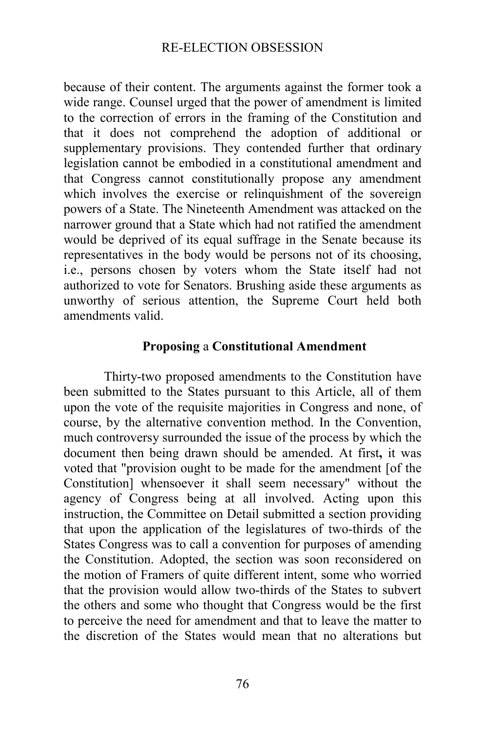because of their content. The arguments against the former took a wide range. Counsel urged that the power of amendment is limited to the correction of errors in the framing of the Constitution and that it does not comprehend the adoption of additional or supplementary provisions. They contended further that ordinary legislation cannot be embodied in a constitutional amendment and that Congress cannot constitutionally propose any amendment which involves the exercise or relinquishment of the sovereign powers of a State. The Nineteenth Amendment was attacked on the narrower ground that a State which had not ratified the amendment would be deprived of its equal suffrage in the Senate because its representatives in the body would be persons not of its choosing, i.e., persons chosen by voters whom the State itself had not authorized to vote for Senators. Brushing aside these arguments as unworthy of serious attention, the Supreme Court held both amendments valid.

### **Proposing** a **Constitutional Amendment**

 Thirty-two proposed amendments to the Constitution have been submitted to the States pursuant to this Article, all of them upon the vote of the requisite majorities in Congress and none, of course, by the alternative convention method. In the Convention, much controversy surrounded the issue of the process by which the document then being drawn should be amended. At first**,** it was voted that "provision ought to be made for the amendment [of the Constitution] whensoever it shall seem necessary" without the agency of Congress being at all involved. Acting upon this instruction, the Committee on Detail submitted a section providing that upon the application of the legislatures of two-thirds of the States Congress was to call a convention for purposes of amending the Constitution. Adopted, the section was soon reconsidered on the motion of Framers of quite different intent, some who worried that the provision would allow two-thirds of the States to subvert the others and some who thought that Congress would be the first to perceive the need for amendment and that to leave the matter to the discretion of the States would mean that no alterations but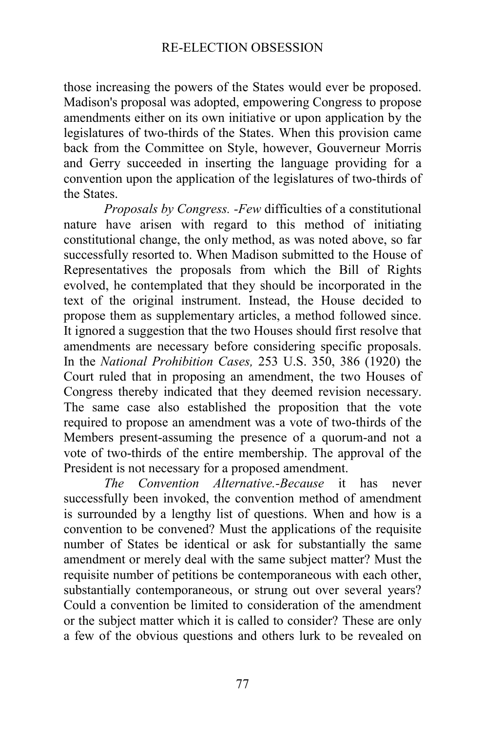those increasing the powers of the States would ever be proposed. Madison's proposal was adopted, empowering Congress to propose amendments either on its own initiative or upon application by the legislatures of two-thirds of the States. When this provision came back from the Committee on Style, however, Gouverneur Morris and Gerry succeeded in inserting the language providing for a convention upon the application of the legislatures of two-thirds of the States.

 *Proposals by Congress. -Few* difficulties of a constitutional nature have arisen with regard to this method of initiating constitutional change, the only method, as was noted above, so far successfully resorted to. When Madison submitted to the House of Representatives the proposals from which the Bill of Rights evolved, he contemplated that they should be incorporated in the text of the original instrument. Instead, the House decided to propose them as supplementary articles, a method followed since. It ignored a suggestion that the two Houses should first resolve that amendments are necessary before considering specific proposals. In the *National Prohibition Cases,* 253 U.S. 350, 386 (1920) the Court ruled that in proposing an amendment, the two Houses of Congress thereby indicated that they deemed revision necessary. The same case also established the proposition that the vote required to propose an amendment was a vote of two-thirds of the Members present-assuming the presence of a quorum-and not a vote of two-thirds of the entire membership. The approval of the President is not necessary for a proposed amendment.

 *The Convention Alternative.-Because* it has never successfully been invoked, the convention method of amendment is surrounded by a lengthy list of questions. When and how is a convention to be convened? Must the applications of the requisite number of States be identical or ask for substantially the same amendment or merely deal with the same subject matter? Must the requisite number of petitions be contemporaneous with each other, substantially contemporaneous, or strung out over several years? Could a convention be limited to consideration of the amendment or the subject matter which it is called to consider? These are only a few of the obvious questions and others lurk to be revealed on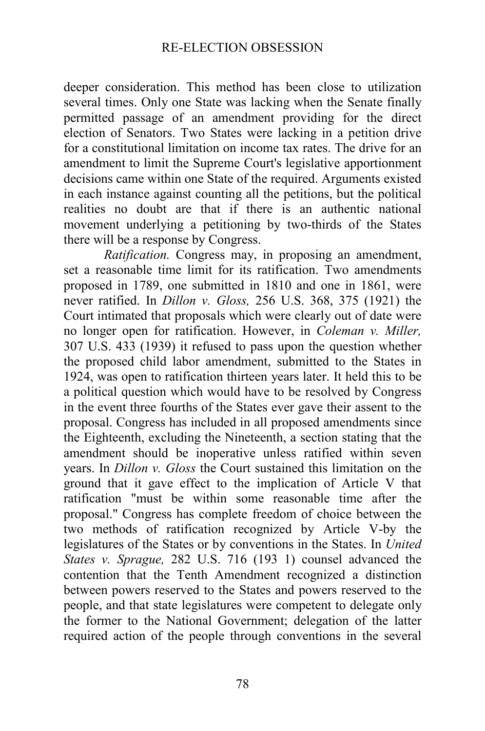deeper consideration. This method has been close to utilization several times. Only one State was lacking when the Senate finally permitted passage of an amendment providing for the direct election of Senators. Two States were lacking in a petition drive for a constitutional limitation on income tax rates. The drive for an amendment to limit the Supreme Court's legislative apportionment decisions came within one State of the required. Arguments existed in each instance against counting all the petitions, but the political realities no doubt are that if there is an authentic national movement underlying a petitioning by two-thirds of the States there will be a response by Congress.

 *Ratification.* Congress may, in proposing an amendment, set a reasonable time limit for its ratification. Two amendments proposed in 1789, one submitted in 1810 and one in 1861, were never ratified. In *Dillon v. Gloss,* 256 U.S. 368, 375 (1921) the Court intimated that proposals which were clearly out of date were no longer open for ratification. However, in *Coleman v. Miller,* 307 U.S. 433 (1939) it refused to pass upon the question whether the proposed child labor amendment, submitted to the States in 1924, was open to ratification thirteen years later. It held this to be a political question which would have to be resolved by Congress in the event three fourths of the States ever gave their assent to the proposal. Congress has included in all proposed amendments since the Eighteenth, excluding the Nineteenth, a section stating that the amendment should be inoperative unless ratified within seven years. In *Dillon v. Gloss* the Court sustained this limitation on the ground that it gave effect to the implication of Article V that ratification "must be within some reasonable time after the proposal." Congress has complete freedom of choice between the two methods of ratification recognized by Article V-by the legislatures of the States or by conventions in the States. In *United States v. Sprague,* 282 U.S. 716 (193 1) counsel advanced the contention that the Tenth Amendment recognized a distinction between powers reserved to the States and powers reserved to the people, and that state legislatures were competent to delegate only the former to the National Government; delegation of the latter required action of the people through conventions in the several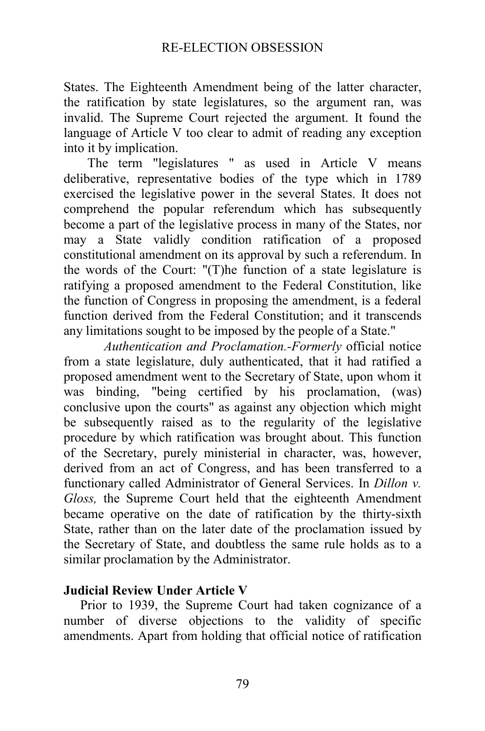States. The Eighteenth Amendment being of the latter character, the ratification by state legislatures, so the argument ran, was invalid. The Supreme Court rejected the argument. It found the language of Article V too clear to admit of reading any exception into it by implication.

The term "legislatures " as used in Article V means deliberative, representative bodies of the type which in 1789 exercised the legislative power in the several States. It does not comprehend the popular referendum which has subsequently become a part of the legislative process in many of the States, nor may a State validly condition ratification of a proposed constitutional amendment on its approval by such a referendum. In the words of the Court: "(T)he function of a state legislature is ratifying a proposed amendment to the Federal Constitution, like the function of Congress in proposing the amendment, is a federal function derived from the Federal Constitution; and it transcends any limitations sought to be imposed by the people of a State."

 *Authentication and Proclamation.-Formerly* official notice from a state legislature, duly authenticated, that it had ratified a proposed amendment went to the Secretary of State, upon whom it was binding, "being certified by his proclamation, (was) conclusive upon the courts" as against any objection which might be subsequently raised as to the regularity of the legislative procedure by which ratification was brought about. This function of the Secretary, purely ministerial in character, was, however, derived from an act of Congress, and has been transferred to a functionary called Administrator of General Services. In *Dillon v. Gloss,* the Supreme Court held that the eighteenth Amendment became operative on the date of ratification by the thirty-sixth State, rather than on the later date of the proclamation issued by the Secretary of State, and doubtless the same rule holds as to a similar proclamation by the Administrator.

### **Judicial Review Under Article V**

 Prior to 1939, the Supreme Court had taken cognizance of a number of diverse objections to the validity of specific amendments. Apart from holding that official notice of ratification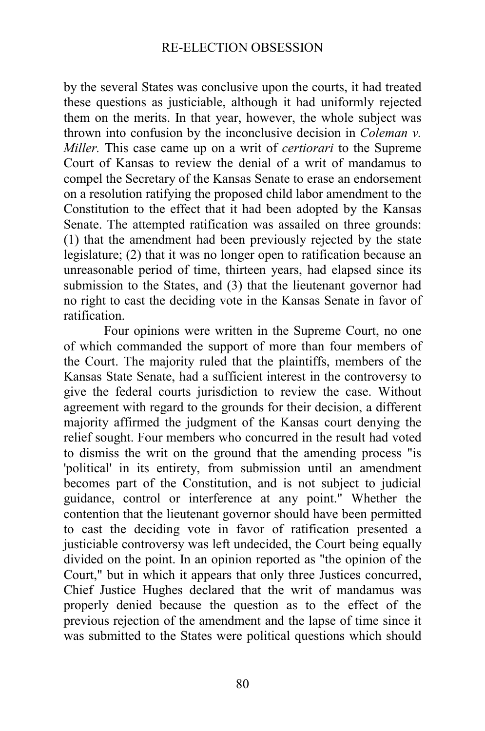by the several States was conclusive upon the courts, it had treated these questions as justiciable, although it had uniformly rejected them on the merits. In that year, however, the whole subject was thrown into confusion by the inconclusive decision in *Coleman v. Miller.* This case came up on a writ of *certiorari* to the Supreme Court of Kansas to review the denial of a writ of mandamus to compel the Secretary of the Kansas Senate to erase an endorsement on a resolution ratifying the proposed child labor amendment to the Constitution to the effect that it had been adopted by the Kansas Senate. The attempted ratification was assailed on three grounds: (1) that the amendment had been previously rejected by the state legislature; (2) that it was no longer open to ratification because an unreasonable period of time, thirteen years, had elapsed since its submission to the States, and (3) that the lieutenant governor had no right to cast the deciding vote in the Kansas Senate in favor of ratification.

 Four opinions were written in the Supreme Court, no one of which commanded the support of more than four members of the Court. The majority ruled that the plaintiffs, members of the Kansas State Senate, had a sufficient interest in the controversy to give the federal courts jurisdiction to review the case. Without agreement with regard to the grounds for their decision, a different majority affirmed the judgment of the Kansas court denying the relief sought. Four members who concurred in the result had voted to dismiss the writ on the ground that the amending process "is 'political' in its entirety, from submission until an amendment becomes part of the Constitution, and is not subject to judicial guidance, control or interference at any point." Whether the contention that the lieutenant governor should have been permitted to cast the deciding vote in favor of ratification presented a justiciable controversy was left undecided, the Court being equally divided on the point. In an opinion reported as "the opinion of the Court," but in which it appears that only three Justices concurred, Chief Justice Hughes declared that the writ of mandamus was properly denied because the question as to the effect of the previous rejection of the amendment and the lapse of time since it was submitted to the States were political questions which should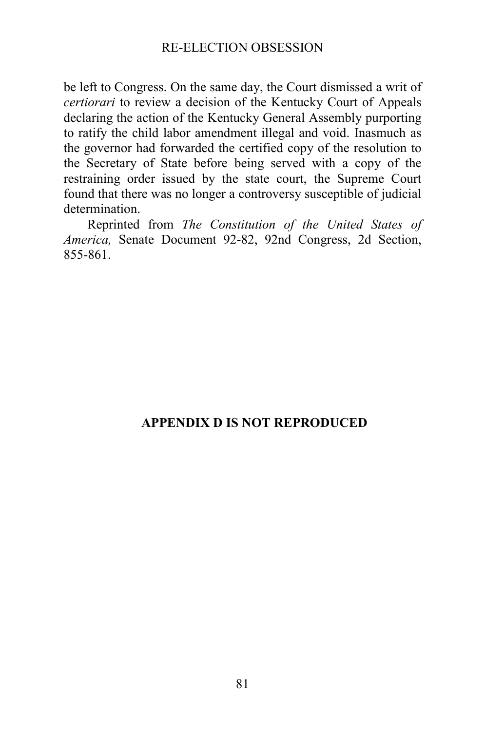be left to Congress. On the same day, the Court dismissed a writ of *certiorari* to review a decision of the Kentucky Court of Appeals declaring the action of the Kentucky General Assembly purporting to ratify the child labor amendment illegal and void. Inasmuch as the governor had forwarded the certified copy of the resolution to the Secretary of State before being served with a copy of the restraining order issued by the state court, the Supreme Court found that there was no longer a controversy susceptible of judicial determination.

Reprinted from *The Constitution of the United States of America,* Senate Document 92-82, 92nd Congress, 2d Section, 855-861.

#### **APPENDIX D IS NOT REPRODUCED**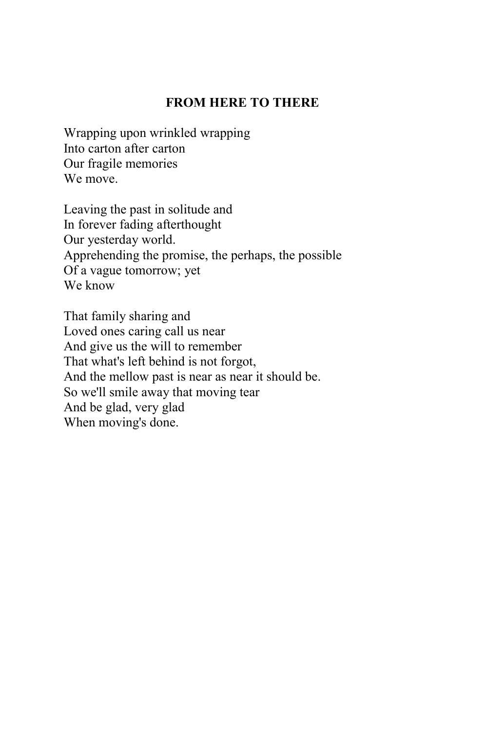### **FROM HERE TO THERE**

Wrapping upon wrinkled wrapping Into carton after carton Our fragile memories We move.

Leaving the past in solitude and In forever fading afterthought Our yesterday world. Apprehending the promise, the perhaps, the possible Of a vague tomorrow; yet We know

That family sharing and Loved ones caring call us near And give us the will to remember That what's left behind is not forgot, And the mellow past is near as near it should be. So we'll smile away that moving tear And be glad, very glad When moving's done.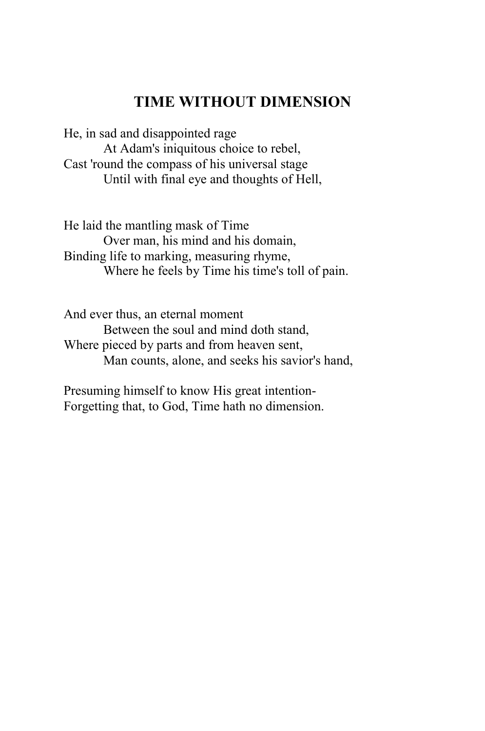## **TIME WITHOUT DIMENSION**

He, in sad and disappointed rage At Adam's iniquitous choice to rebel, Cast 'round the compass of his universal stage Until with final eye and thoughts of Hell,

He laid the mantling mask of Time Over man, his mind and his domain, Binding life to marking, measuring rhyme, Where he feels by Time his time's toll of pain.

And ever thus, an eternal moment Between the soul and mind doth stand, Where pieced by parts and from heaven sent, Man counts, alone, and seeks his savior's hand,

Presuming himself to know His great intention-Forgetting that, to God, Time hath no dimension.